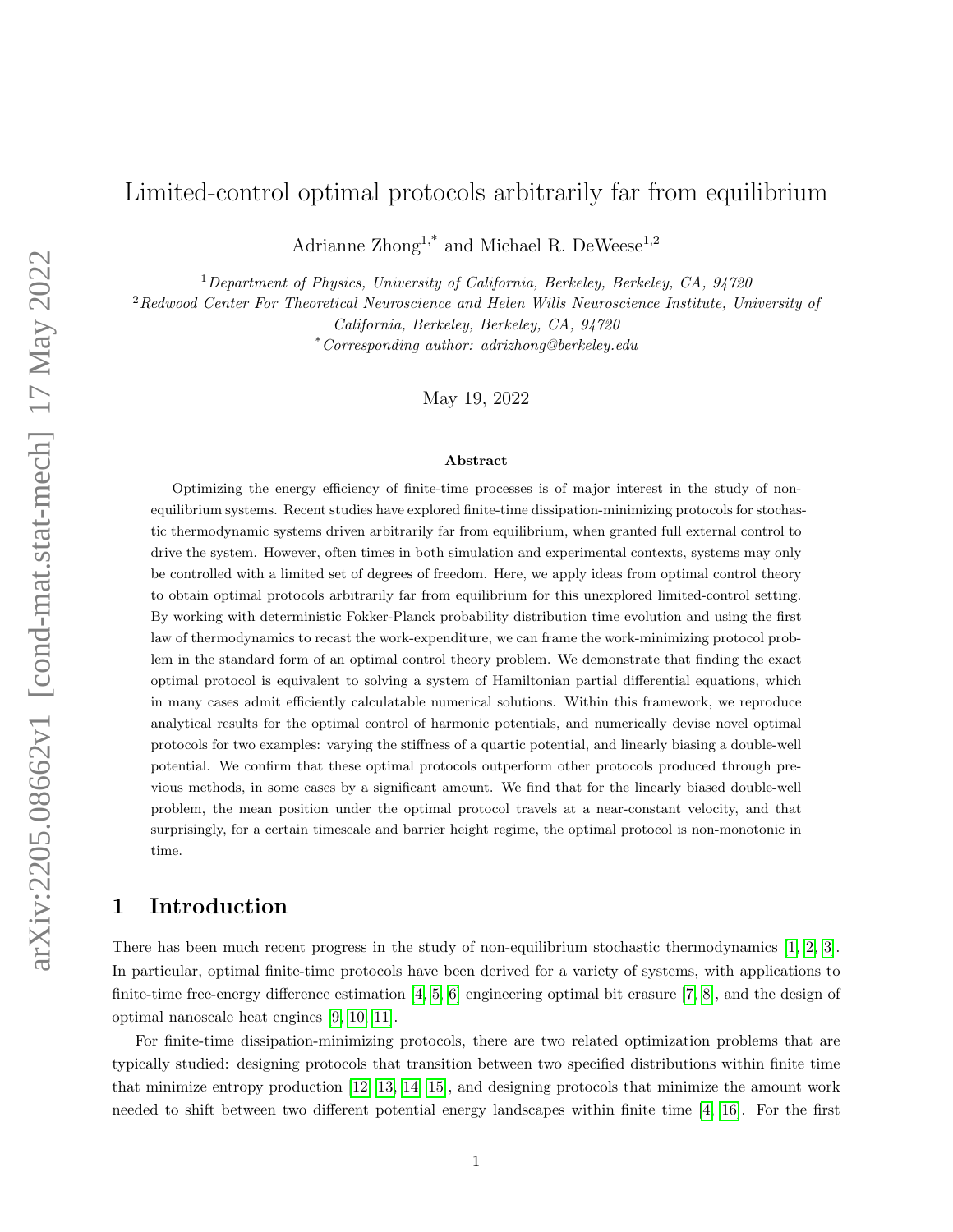# Limited-control optimal protocols arbitrarily far from equilibrium

Adrianne Zhong<sup>1,\*</sup> and Michael R. DeWeese<sup>1,2</sup>

<sup>1</sup>Department of Physics, University of California, Berkeley, Berkeley, CA,  $94720$ 

<sup>2</sup>Redwood Center For Theoretical Neuroscience and Helen Wills Neuroscience Institute, University of

California, Berkeley, Berkeley, CA, 94720

\*Corresponding author: adrizhong@berkeley.edu

May 19, 2022

#### Abstract

Optimizing the energy efficiency of finite-time processes is of major interest in the study of nonequilibrium systems. Recent studies have explored finite-time dissipation-minimizing protocols for stochastic thermodynamic systems driven arbitrarily far from equilibrium, when granted full external control to drive the system. However, often times in both simulation and experimental contexts, systems may only be controlled with a limited set of degrees of freedom. Here, we apply ideas from optimal control theory to obtain optimal protocols arbitrarily far from equilibrium for this unexplored limited-control setting. By working with deterministic Fokker-Planck probability distribution time evolution and using the first law of thermodynamics to recast the work-expenditure, we can frame the work-minimizing protocol problem in the standard form of an optimal control theory problem. We demonstrate that finding the exact optimal protocol is equivalent to solving a system of Hamiltonian partial differential equations, which in many cases admit efficiently calculatable numerical solutions. Within this framework, we reproduce analytical results for the optimal control of harmonic potentials, and numerically devise novel optimal protocols for two examples: varying the stiffness of a quartic potential, and linearly biasing a double-well potential. We confirm that these optimal protocols outperform other protocols produced through previous methods, in some cases by a significant amount. We find that for the linearly biased double-well problem, the mean position under the optimal protocol travels at a near-constant velocity, and that surprisingly, for a certain timescale and barrier height regime, the optimal protocol is non-monotonic in time.

# 1 Introduction

There has been much recent progress in the study of non-equilibrium stochastic thermodynamics [\[1,](#page-13-0) [2,](#page-13-1) [3\]](#page-13-2). In particular, optimal finite-time protocols have been derived for a variety of systems, with applications to finite-time free-energy difference estimation  $[4, 5, 6]$  $[4, 5, 6]$  $[4, 5, 6]$  engineering optimal bit erasure  $[7, 8]$  $[7, 8]$ , and the design of optimal nanoscale heat engines [\[9,](#page-13-8) [10,](#page-14-0) [11\]](#page-14-1).

For finite-time dissipation-minimizing protocols, there are two related optimization problems that are typically studied: designing protocols that transition between two specified distributions within finite time that minimize entropy production [\[12,](#page-14-2) [13,](#page-14-3) [14,](#page-14-4) [15\]](#page-14-5), and designing protocols that minimize the amount work needed to shift between two different potential energy landscapes within finite time [\[4,](#page-13-3) [16\]](#page-14-6). For the first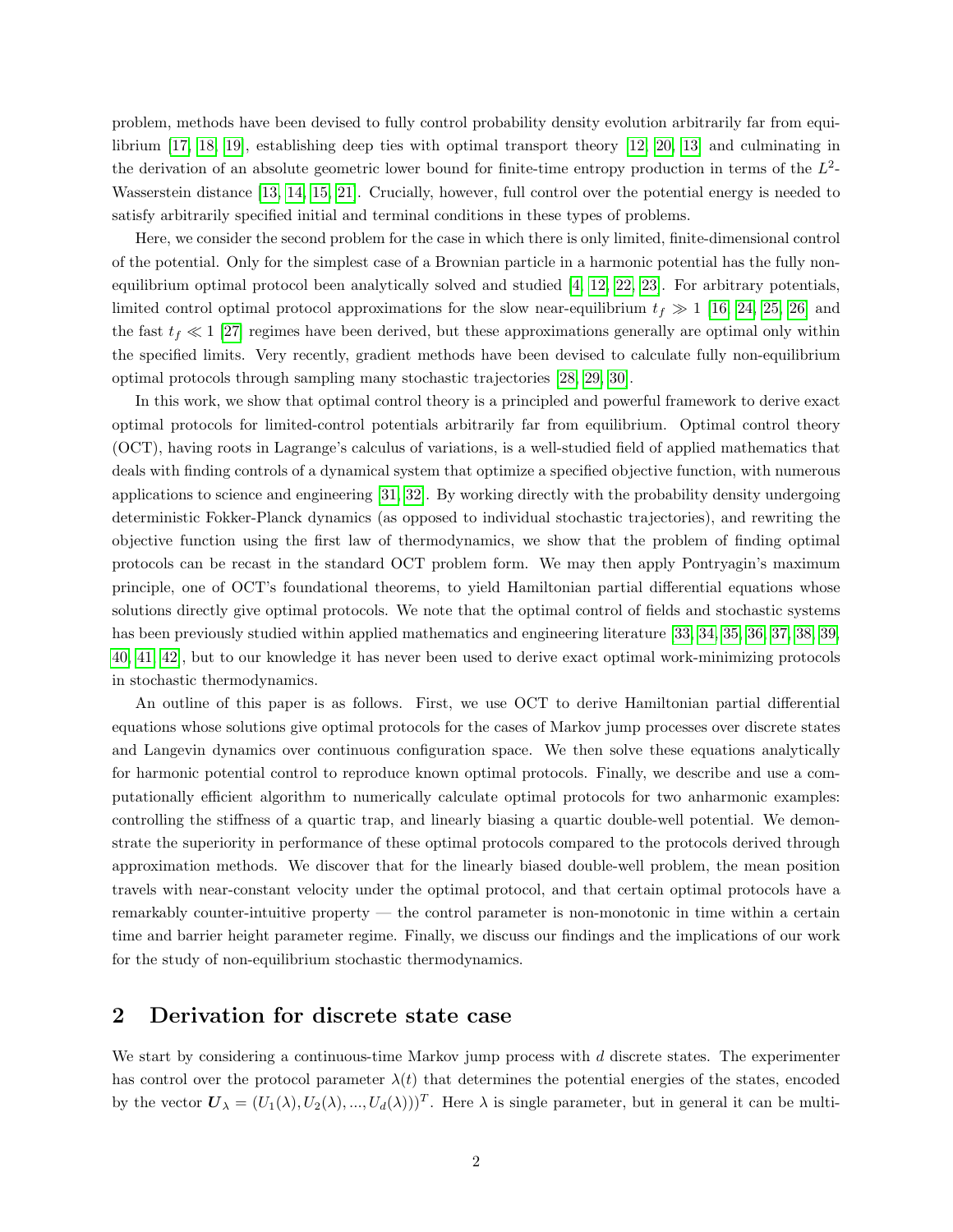problem, methods have been devised to fully control probability density evolution arbitrarily far from equilibrium [\[17,](#page-14-7) [18,](#page-14-8) [19\]](#page-14-9), establishing deep ties with optimal transport theory [\[12,](#page-14-2) [20,](#page-14-10) [13\]](#page-14-3) and culminating in the derivation of an absolute geometric lower bound for finite-time entropy production in terms of the  $L^2$ -Wasserstein distance [\[13,](#page-14-3) [14,](#page-14-4) [15,](#page-14-5) [21\]](#page-14-11). Crucially, however, full control over the potential energy is needed to satisfy arbitrarily specified initial and terminal conditions in these types of problems.

Here, we consider the second problem for the case in which there is only limited, finite-dimensional control of the potential. Only for the simplest case of a Brownian particle in a harmonic potential has the fully nonequilibrium optimal protocol been analytically solved and studied [\[4,](#page-13-3) [12,](#page-14-2) [22,](#page-14-12) [23\]](#page-14-13). For arbitrary potentials, limited control optimal protocol approximations for the slow near-equilibrium  $t_f \gg 1$  [\[16,](#page-14-6) [24,](#page-14-14) [25,](#page-14-15) [26\]](#page-14-16) and the fast  $t_f \ll 1$  [\[27\]](#page-14-17) regimes have been derived, but these approximations generally are optimal only within the specified limits. Very recently, gradient methods have been devised to calculate fully non-equilibrium optimal protocols through sampling many stochastic trajectories [\[28,](#page-14-18) [29,](#page-15-0) [30\]](#page-15-1).

In this work, we show that optimal control theory is a principled and powerful framework to derive exact optimal protocols for limited-control potentials arbitrarily far from equilibrium. Optimal control theory (OCT), having roots in Lagrange's calculus of variations, is a well-studied field of applied mathematics that deals with finding controls of a dynamical system that optimize a specified objective function, with numerous applications to science and engineering [\[31,](#page-15-2) [32\]](#page-15-3). By working directly with the probability density undergoing deterministic Fokker-Planck dynamics (as opposed to individual stochastic trajectories), and rewriting the objective function using the first law of thermodynamics, we show that the problem of finding optimal protocols can be recast in the standard OCT problem form. We may then apply Pontryagin's maximum principle, one of OCT's foundational theorems, to yield Hamiltonian partial differential equations whose solutions directly give optimal protocols. We note that the optimal control of fields and stochastic systems has been previously studied within applied mathematics and engineering literature [\[33,](#page-15-4) [34,](#page-15-5) [35,](#page-15-6) [36,](#page-15-7) [37,](#page-15-8) [38,](#page-15-9) [39,](#page-15-10) [40,](#page-15-11) [41,](#page-15-12) [42\]](#page-15-13), but to our knowledge it has never been used to derive exact optimal work-minimizing protocols in stochastic thermodynamics.

An outline of this paper is as follows. First, we use OCT to derive Hamiltonian partial differential equations whose solutions give optimal protocols for the cases of Markov jump processes over discrete states and Langevin dynamics over continuous configuration space. We then solve these equations analytically for harmonic potential control to reproduce known optimal protocols. Finally, we describe and use a computationally efficient algorithm to numerically calculate optimal protocols for two anharmonic examples: controlling the stiffness of a quartic trap, and linearly biasing a quartic double-well potential. We demonstrate the superiority in performance of these optimal protocols compared to the protocols derived through approximation methods. We discover that for the linearly biased double-well problem, the mean position travels with near-constant velocity under the optimal protocol, and that certain optimal protocols have a remarkably counter-intuitive property — the control parameter is non-monotonic in time within a certain time and barrier height parameter regime. Finally, we discuss our findings and the implications of our work for the study of non-equilibrium stochastic thermodynamics.

### 2 Derivation for discrete state case

We start by considering a continuous-time Markov jump process with  $d$  discrete states. The experimenter has control over the protocol parameter  $\lambda(t)$  that determines the potential energies of the states, encoded by the vector  $\mathbf{U}_{\lambda} = (U_1(\lambda), U_2(\lambda), ..., U_d(\lambda)))^T$ . Here  $\lambda$  is single parameter, but in general it can be multi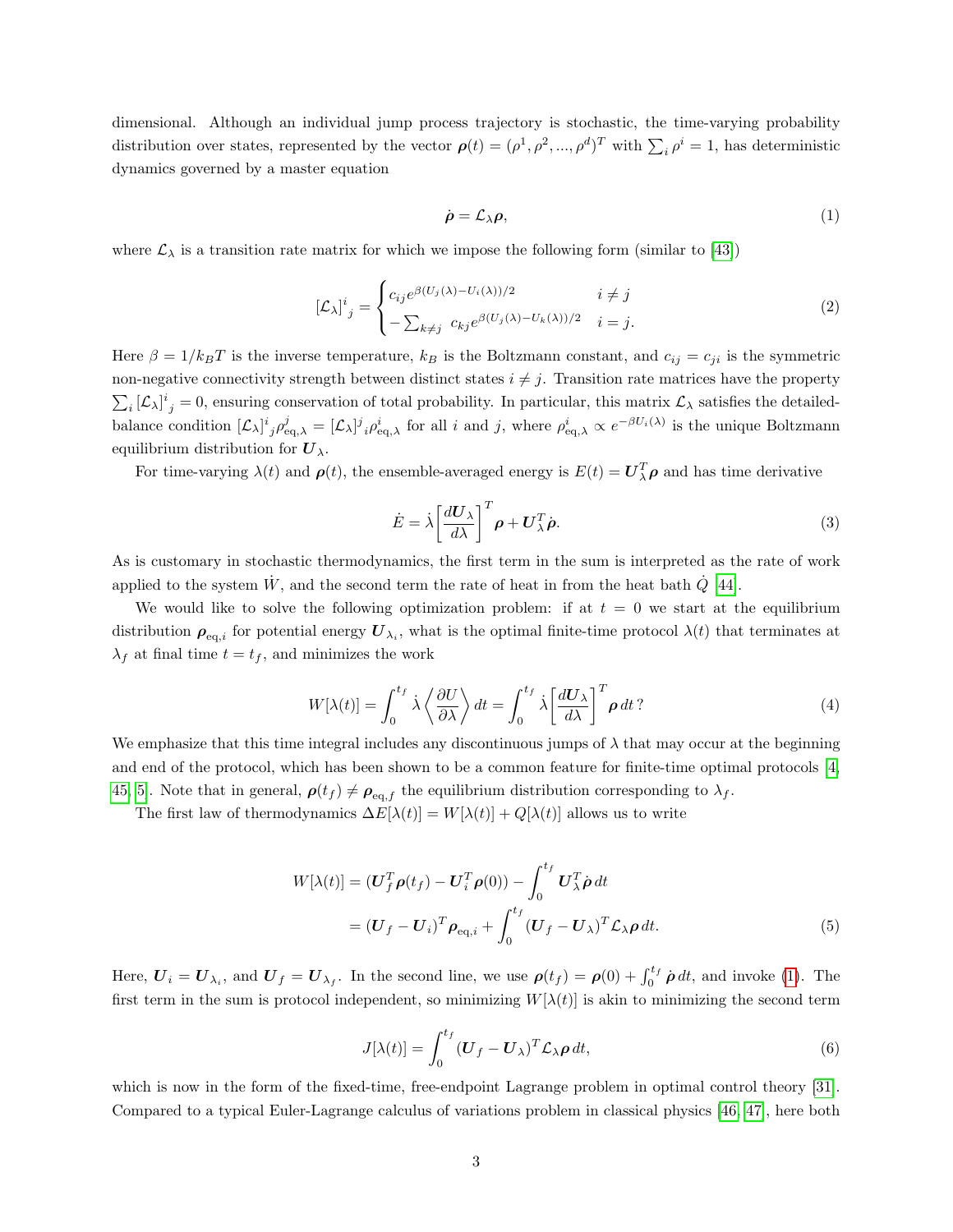dimensional. Although an individual jump process trajectory is stochastic, the time-varying probability distribution over states, represented by the vector  $\rho(t) = (\rho^1, \rho^2, ..., \rho^d)^T$  with  $\sum_i \rho^i = 1$ , has deterministic dynamics governed by a master equation

<span id="page-2-0"></span>
$$
\dot{\rho} = \mathcal{L}_{\lambda} \rho, \tag{1}
$$

where  $\mathcal{L}_{\lambda}$  is a transition rate matrix for which we impose the following form (similar to [\[43\]](#page-15-14))

<span id="page-2-2"></span>
$$
\left[\mathcal{L}_{\lambda}\right]^{i}{}_{j} = \begin{cases} c_{ij}e^{\beta(U_{j}(\lambda) - U_{i}(\lambda))/2} & i \neq j \\ -\sum_{k \neq j} c_{kj}e^{\beta(U_{j}(\lambda) - U_{k}(\lambda))/2} & i = j. \end{cases}
$$
\n(2)

Here  $\beta = 1/k_BT$  is the inverse temperature,  $k_B$  is the Boltzmann constant, and  $c_{ij} = c_{ji}$  is the symmetric non-negative connectivity strength between distinct states  $i \neq j$ . Transition rate matrices have the property  $\sum_i [\mathcal{L}_\lambda]^i_j = 0$ , ensuring conservation of total probability. In particular, this matrix  $\mathcal{L}_\lambda$  satisfies the detailedbalance condition  $[\mathcal{L}_{\lambda}]^{i}{}_{j} \rho_{\text{eq},\lambda}^{j} = [\mathcal{L}_{\lambda}]^{j}{}_{i} \rho_{\text{eq},\lambda}^{i}$  for all i and j, where  $\rho_{\text{eq},\lambda}^{i} \propto e^{-\beta U_{i}(\lambda)}$  is the unique Boltzmann equilibrium distribution for  $U_{\lambda}$ .

For time-varying  $\lambda(t)$  and  $\rho(t)$ , the ensemble-averaged energy is  $E(t) = U_{\lambda}^{T} \rho$  and has time derivative

$$
\dot{E} = \dot{\lambda} \left[ \frac{dU_{\lambda}}{d\lambda} \right]^T \rho + U_{\lambda}^T \dot{\rho}.
$$
\n(3)

As is customary in stochastic thermodynamics, the first term in the sum is interpreted as the rate of work applied to the system  $\dot{W}$ , and the second term the rate of heat in from the heat bath  $\dot{Q}$  [\[44\]](#page-15-15).

We would like to solve the following optimization problem: if at  $t = 0$  we start at the equilibrium distribution  $\rho_{\text{eq},i}$  for potential energy  $\boldsymbol{U}_{\lambda_i}$ , what is the optimal finite-time protocol  $\lambda(t)$  that terminates at  $\lambda_f$  at final time  $t = t_f$ , and minimizes the work

$$
W[\lambda(t)] = \int_0^{t_f} \dot{\lambda} \left\langle \frac{\partial U}{\partial \lambda} \right\rangle dt = \int_0^{t_f} \dot{\lambda} \left[ \frac{dU_{\lambda}}{d\lambda} \right]^T \rho dt ? \tag{4}
$$

We emphasize that this time integral includes any discontinuous jumps of  $\lambda$  that may occur at the beginning and end of the protocol, which has been shown to be a common feature for finite-time optimal protocols [\[4,](#page-13-3) [45,](#page-15-16) [5\]](#page-13-4). Note that in general,  $\rho(t_f) \neq \rho_{eq,f}$  the equilibrium distribution corresponding to  $\lambda_f$ .

The first law of thermodynamics  $\Delta E[\lambda(t)] = W[\lambda(t)] + Q[\lambda(t)]$  allows us to write

$$
W[\lambda(t)] = (\boldsymbol{U}_f^T \boldsymbol{\rho}(t_f) - \boldsymbol{U}_i^T \boldsymbol{\rho}(0)) - \int_0^{t_f} \boldsymbol{U}_\lambda^T \dot{\boldsymbol{\rho}} dt
$$
  
=  $(\boldsymbol{U}_f - \boldsymbol{U}_i)^T \boldsymbol{\rho}_{\text{eq},i} + \int_0^{t_f} (\boldsymbol{U}_f - \boldsymbol{U}_\lambda)^T \mathcal{L}_\lambda \boldsymbol{\rho} dt.$  (5)

Here,  $U_i = U_{\lambda_i}$ , and  $U_f = U_{\lambda_f}$ . In the second line, we use  $\rho(t_f) = \rho(0) + \int_0^{t_f} \dot{\rho} dt$ , and invoke [\(1\)](#page-2-0). The first term in the sum is protocol independent, so minimizing  $W[\lambda(t)]$  is akin to minimizing the second term

<span id="page-2-3"></span><span id="page-2-1"></span>
$$
J[\lambda(t)] = \int_0^{t_f} (\boldsymbol{U}_f - \boldsymbol{U}_\lambda)^T \mathcal{L}_\lambda \boldsymbol{\rho} dt,
$$
\n(6)

which is now in the form of the fixed-time, free-endpoint Lagrange problem in optimal control theory [\[31\]](#page-15-2). Compared to a typical Euler-Lagrange calculus of variations problem in classical physics [\[46,](#page-15-17) [47\]](#page-15-18), here both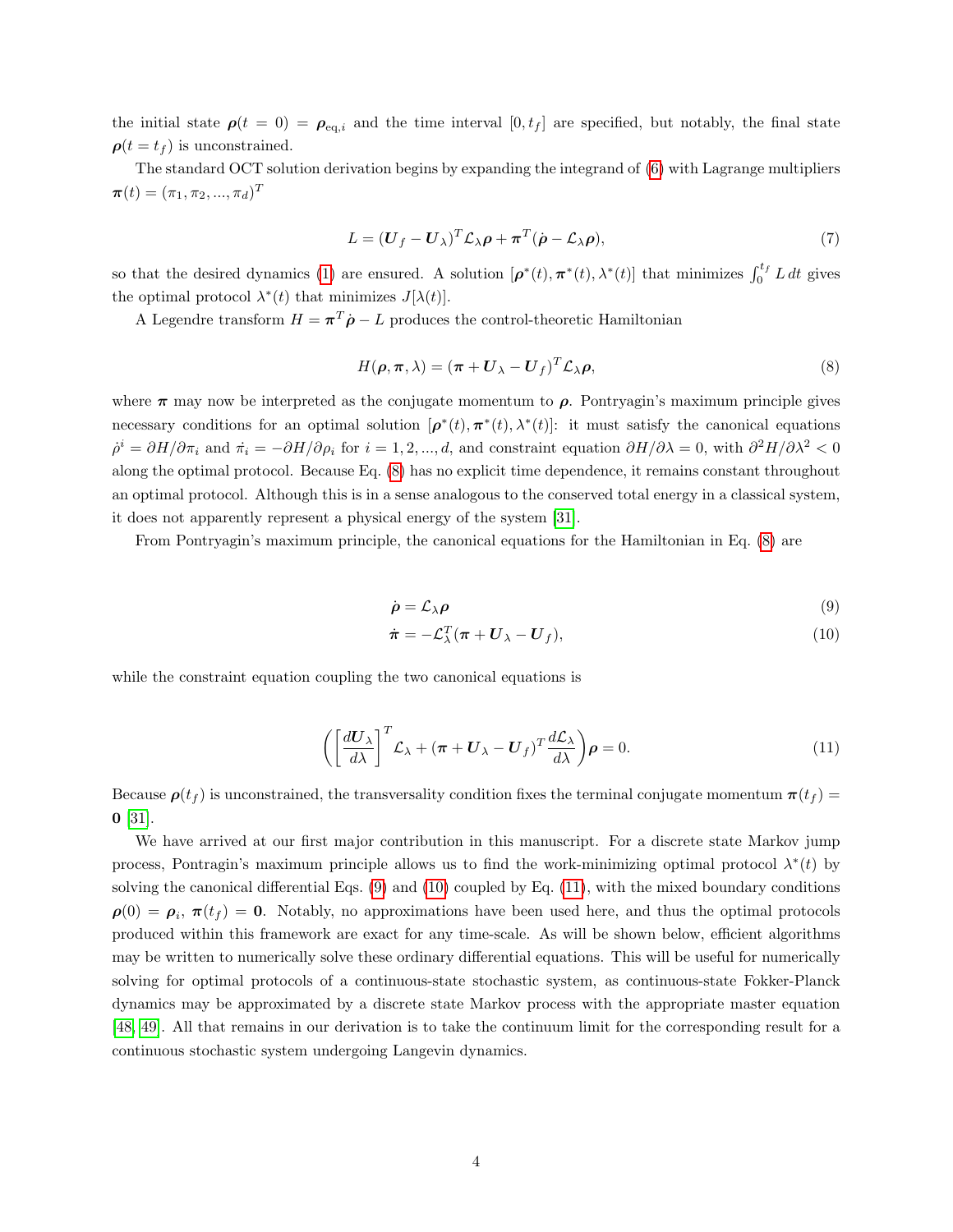the initial state  $\rho(t = 0) = \rho_{eq,i}$  and the time interval  $[0, t_f]$  are specified, but notably, the final state  $\rho(t = t_f)$  is unconstrained.

The standard OCT solution derivation begins by expanding the integrand of [\(6\)](#page-2-1) with Lagrange multipliers  $\bm{\pi}(t)=(\pi_1, \pi_2, ..., \pi_d)^T$ 

$$
L = (\boldsymbol{U}_f - \boldsymbol{U}_\lambda)^T \mathcal{L}_\lambda \boldsymbol{\rho} + \boldsymbol{\pi}^T (\dot{\boldsymbol{\rho}} - \mathcal{L}_\lambda \boldsymbol{\rho}),
$$
\n(7)

so that the desired dynamics [\(1\)](#page-2-0) are ensured. A solution  $[\rho^*(t), \pi^*(t), \lambda^*(t)]$  that minimizes  $\int_0^{t_f} L dt$  gives the optimal protocol  $\lambda^*(t)$  that minimizes  $J[\lambda(t)]$ .

A Legendre transform  $H = \pi^T \dot{\rho} - L$  produces the control-theoretic Hamiltonian

<span id="page-3-0"></span>
$$
H(\rho, \pi, \lambda) = (\pi + \mathbf{U}_{\lambda} - \mathbf{U}_{f})^{T} \mathcal{L}_{\lambda} \rho,
$$
\n(8)

where  $\pi$  may now be interpreted as the conjugate momentum to  $\rho$ . Pontryagin's maximum principle gives necessary conditions for an optimal solution  $[\rho^*(t), \pi^*(t), \lambda^*(t)]$ : it must satisfy the canonical equations  $\dot{\rho}^i = \partial H/\partial \pi_i$  and  $\dot{\pi}_i = -\partial H/\partial \rho_i$  for  $i = 1, 2, ..., d$ , and constraint equation  $\partial H/\partial \lambda = 0$ , with  $\partial^2 H/\partial \lambda^2 < 0$ along the optimal protocol. Because Eq. [\(8\)](#page-3-0) has no explicit time dependence, it remains constant throughout an optimal protocol. Although this is in a sense analogous to the conserved total energy in a classical system, it does not apparently represent a physical energy of the system [\[31\]](#page-15-2).

From Pontryagin's maximum principle, the canonical equations for the Hamiltonian in Eq. [\(8\)](#page-3-0) are

<span id="page-3-2"></span><span id="page-3-1"></span>
$$
\dot{\rho} = \mathcal{L}_{\lambda} \rho \tag{9}
$$

<span id="page-3-3"></span>
$$
\dot{\boldsymbol{\pi}} = -\mathcal{L}_{\lambda}^{T}(\boldsymbol{\pi} + \boldsymbol{U}_{\lambda} - \boldsymbol{U}_{f}), \qquad (10)
$$

while the constraint equation coupling the two canonical equations is

$$
\left( \left[ \frac{d\mathbf{U}_{\lambda}}{d\lambda} \right]^T \mathcal{L}_{\lambda} + (\boldsymbol{\pi} + \mathbf{U}_{\lambda} - \mathbf{U}_f)^T \frac{d\mathcal{L}_{\lambda}}{d\lambda} \right) \boldsymbol{\rho} = 0. \tag{11}
$$

Because  $\rho(t_f)$  is unconstrained, the transversality condition fixes the terminal conjugate momentum  $\pi(t_f)$  =  $0 \; [31]$  $0 \; [31]$ .

We have arrived at our first major contribution in this manuscript. For a discrete state Markov jump process, Pontragin's maximum principle allows us to find the work-minimizing optimal protocol  $\lambda^*(t)$  by solving the canonical differential Eqs. [\(9\)](#page-3-1) and [\(10\)](#page-3-2) coupled by Eq. [\(11\)](#page-3-3), with the mixed boundary conditions  $\rho(0) = \rho_i, \pi(t_f) = 0.$  Notably, no approximations have been used here, and thus the optimal protocols produced within this framework are exact for any time-scale. As will be shown below, efficient algorithms may be written to numerically solve these ordinary differential equations. This will be useful for numerically solving for optimal protocols of a continuous-state stochastic system, as continuous-state Fokker-Planck dynamics may be approximated by a discrete state Markov process with the appropriate master equation [\[48,](#page-16-0) [49\]](#page-16-1). All that remains in our derivation is to take the continuum limit for the corresponding result for a continuous stochastic system undergoing Langevin dynamics.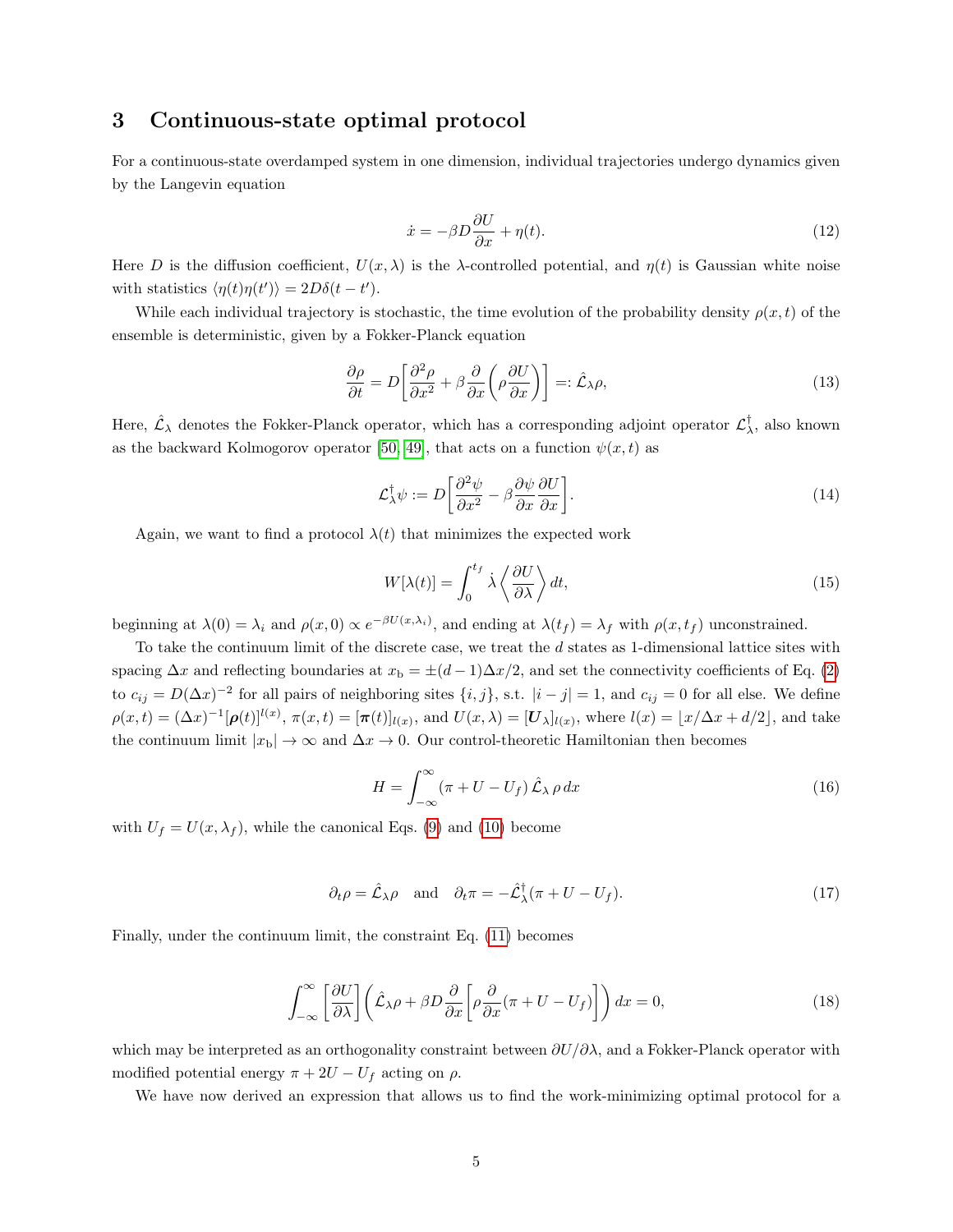# 3 Continuous-state optimal protocol

For a continuous-state overdamped system in one dimension, individual trajectories undergo dynamics given by the Langevin equation

<span id="page-4-4"></span>
$$
\dot{x} = -\beta D \frac{\partial U}{\partial x} + \eta(t). \tag{12}
$$

Here D is the diffusion coefficient,  $U(x, \lambda)$  is the  $\lambda$ -controlled potential, and  $\eta(t)$  is Gaussian white noise with statistics  $\langle \eta(t)\eta(t') \rangle = 2D\delta(t-t')$ .

While each individual trajectory is stochastic, the time evolution of the probability density  $\rho(x, t)$  of the ensemble is deterministic, given by a Fokker-Planck equation

<span id="page-4-5"></span>
$$
\frac{\partial \rho}{\partial t} = D \left[ \frac{\partial^2 \rho}{\partial x^2} + \beta \frac{\partial}{\partial x} \left( \rho \frac{\partial U}{\partial x} \right) \right] =: \hat{\mathcal{L}}_{\lambda} \rho,
$$
\n(13)

Here,  $\hat{\mathcal{L}}_{\lambda}$  denotes the Fokker-Planck operator, which has a corresponding adjoint operator  $\mathcal{L}^{\dagger}_{\lambda}$ , also known as the backward Kolmogorov operator [\[50,](#page-16-2) [49\]](#page-16-1), that acts on a function  $\psi(x, t)$  as

$$
\mathcal{L}_{\lambda}^{\dagger} \psi := D \left[ \frac{\partial^2 \psi}{\partial x^2} - \beta \frac{\partial \psi}{\partial x} \frac{\partial U}{\partial x} \right]. \tag{14}
$$

Again, we want to find a protocol  $\lambda(t)$  that minimizes the expected work

<span id="page-4-2"></span>
$$
W[\lambda(t)] = \int_0^{t_f} \dot{\lambda} \left\langle \frac{\partial U}{\partial \lambda} \right\rangle dt,\tag{15}
$$

beginning at  $\lambda(0) = \lambda_i$  and  $\rho(x, 0) \propto e^{-\beta U(x, \lambda_i)}$ , and ending at  $\lambda(t_f) = \lambda_f$  with  $\rho(x, t_f)$  unconstrained.

To take the continuum limit of the discrete case, we treat the d states as 1-dimensional lattice sites with spacing  $\Delta x$  and reflecting boundaries at  $x_b = \pm(d-1)\Delta x/2$ , and set the connectivity coefficients of Eq. [\(2\)](#page-2-2) to  $c_{ij} = D(\Delta x)^{-2}$  for all pairs of neighboring sites  $\{i, j\}$ , s.t.  $|i - j| = 1$ , and  $c_{ij} = 0$  for all else. We define  $\rho(x,t) = (\Delta x)^{-1}[\rho(t)]^{l(x)}, \pi(x,t) = [\pi(t)]_{l(x)}, \text{ and } U(x,\lambda) = [U_{\lambda}]_{l(x)}, \text{ where } l(x) = \lfloor x/\Delta x + d/2 \rfloor, \text{ and take}$ the continuum limit  $|x_b| \to \infty$  and  $\Delta x \to 0$ . Our control-theoretic Hamiltonian then becomes

<span id="page-4-3"></span><span id="page-4-1"></span><span id="page-4-0"></span>
$$
H = \int_{-\infty}^{\infty} (\pi + U - U_f) \hat{\mathcal{L}}_{\lambda} \rho \, dx \tag{16}
$$

with  $U_f = U(x, \lambda_f)$ , while the canonical Eqs. [\(9\)](#page-3-1) and [\(10\)](#page-3-2) become

$$
\partial_t \rho = \hat{\mathcal{L}}_\lambda \rho \quad \text{and} \quad \partial_t \pi = -\hat{\mathcal{L}}_\lambda^\dagger (\pi + U - U_f). \tag{17}
$$

Finally, under the continuum limit, the constraint Eq. [\(11\)](#page-3-3) becomes

$$
\int_{-\infty}^{\infty} \left[ \frac{\partial U}{\partial \lambda} \right] \left( \hat{\mathcal{L}}_{\lambda} \rho + \beta D \frac{\partial}{\partial x} \left[ \rho \frac{\partial}{\partial x} (\pi + U - U_f) \right] \right) dx = 0, \tag{18}
$$

which may be interpreted as an orthogonality constraint between  $\partial U/\partial \lambda$ , and a Fokker-Planck operator with modified potential energy  $\pi + 2U - U_f$  acting on  $\rho$ .

We have now derived an expression that allows us to find the work-minimizing optimal protocol for a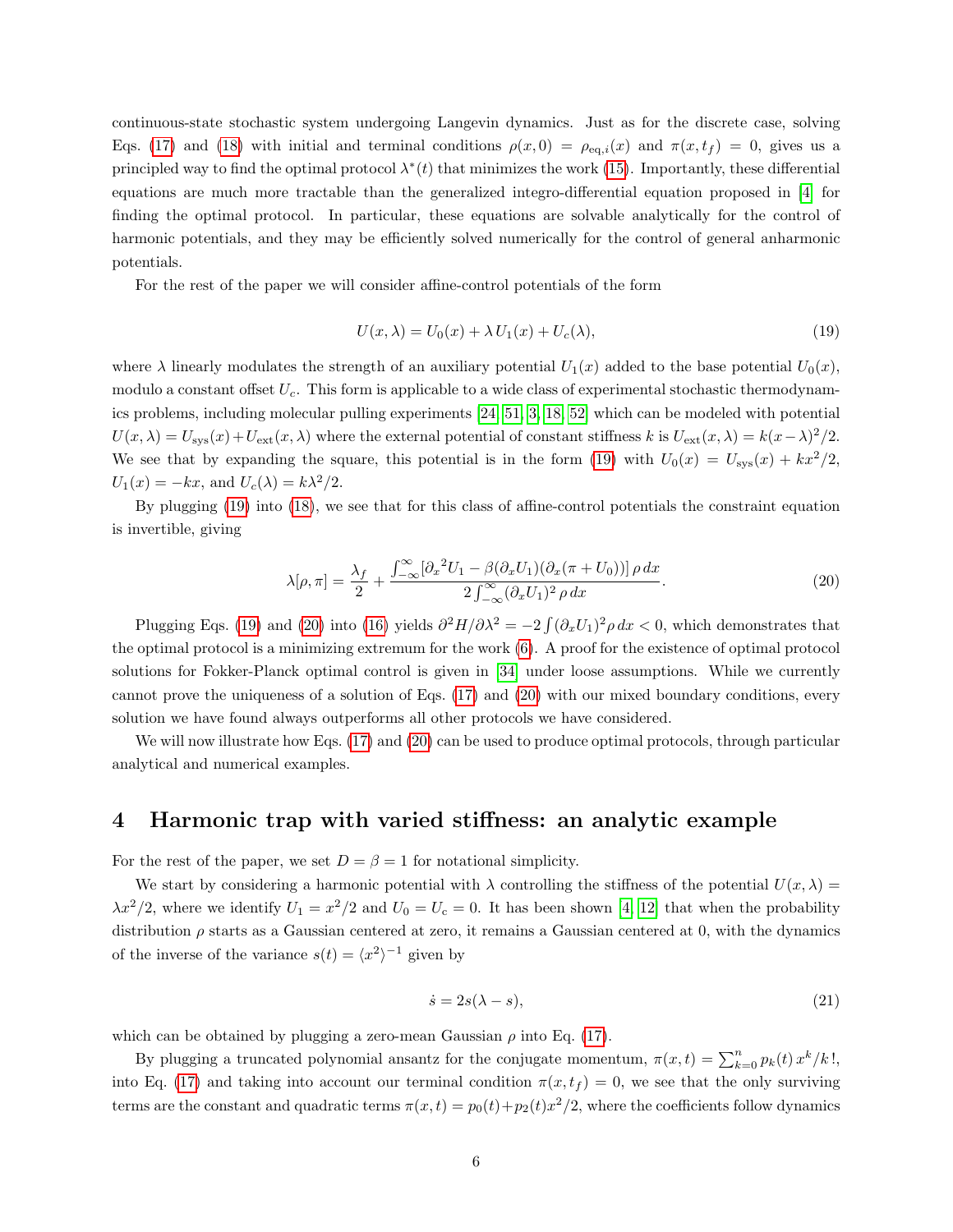continuous-state stochastic system undergoing Langevin dynamics. Just as for the discrete case, solving Eqs. [\(17\)](#page-4-0) and [\(18\)](#page-4-1) with initial and terminal conditions  $\rho(x, 0) = \rho_{eq,i}(x)$  and  $\pi(x, t_f) = 0$ , gives us a principled way to find the optimal protocol  $\lambda^*(t)$  that minimizes the work [\(15\)](#page-4-2). Importantly, these differential equations are much more tractable than the generalized integro-differential equation proposed in [\[4\]](#page-13-3) for finding the optimal protocol. In particular, these equations are solvable analytically for the control of harmonic potentials, and they may be efficiently solved numerically for the control of general anharmonic potentials.

For the rest of the paper we will consider affine-control potentials of the form

<span id="page-5-0"></span>
$$
U(x,\lambda) = U_0(x) + \lambda U_1(x) + U_c(\lambda),\tag{19}
$$

where  $\lambda$  linearly modulates the strength of an auxiliary potential  $U_1(x)$  added to the base potential  $U_0(x)$ , modulo a constant offset  $U_c$ . This form is applicable to a wide class of experimental stochastic thermodynamics problems, including molecular pulling experiments [\[24,](#page-14-14) [51,](#page-16-3) [3,](#page-13-2) [18,](#page-14-8) [52\]](#page-16-4) which can be modeled with potential  $U(x, \lambda) = U_{\text{sys}}(x) + U_{\text{ext}}(x, \lambda)$  where the external potential of constant stiffness k is  $U_{\text{ext}}(x, \lambda) = k(x - \lambda)^2/2$ . We see that by expanding the square, this potential is in the form [\(19\)](#page-5-0) with  $U_0(x) = U_{\rm sys}(x) + kx^2/2$ .  $U_1(x) = -kx$ , and  $U_c(\lambda) = k\lambda^2/2$ .

By plugging [\(19\)](#page-5-0) into [\(18\)](#page-4-1), we see that for this class of affine-control potentials the constraint equation is invertible, giving

<span id="page-5-1"></span>
$$
\lambda[\rho,\pi] = \frac{\lambda_f}{2} + \frac{\int_{-\infty}^{\infty} [\partial_x^2 U_1 - \beta(\partial_x U_1)(\partial_x (\pi + U_0))] \rho \, dx}{2 \int_{-\infty}^{\infty} (\partial_x U_1)^2 \rho \, dx}.
$$
\n(20)

Plugging Eqs. [\(19\)](#page-5-0) and [\(20\)](#page-5-1) into [\(16\)](#page-4-3) yields  $\partial^2 H/\partial \lambda^2 = -2 \int (\partial_x U_1)^2 \rho dx < 0$ , which demonstrates that the optimal protocol is a minimizing extremum for the work [\(6\)](#page-2-1). A proof for the existence of optimal protocol solutions for Fokker-Planck optimal control is given in [\[34\]](#page-15-5) under loose assumptions. While we currently cannot prove the uniqueness of a solution of Eqs. [\(17\)](#page-4-0) and [\(20\)](#page-5-1) with our mixed boundary conditions, every solution we have found always outperforms all other protocols we have considered.

We will now illustrate how Eqs. [\(17\)](#page-4-0) and [\(20\)](#page-5-1) can be used to produce optimal protocols, through particular analytical and numerical examples.

### 4 Harmonic trap with varied stiffness: an analytic example

For the rest of the paper, we set  $D = \beta = 1$  for notational simplicity.

We start by considering a harmonic potential with  $\lambda$  controlling the stiffness of the potential  $U(x, \lambda)$  $\lambda x^2/2$ , where we identify  $U_1 = x^2/2$  and  $U_0 = U_c = 0$ . It has been shown [\[4,](#page-13-3) [12\]](#page-14-2) that when the probability distribution  $\rho$  starts as a Gaussian centered at zero, it remains a Gaussian centered at 0, with the dynamics of the inverse of the variance  $s(t) = \langle x^2 \rangle^{-1}$  given by

<span id="page-5-2"></span>
$$
\dot{s} = 2s(\lambda - s),\tag{21}
$$

which can be obtained by plugging a zero-mean Gaussian  $\rho$  into Eq. [\(17\)](#page-4-0).

By plugging a truncated polynomial ansantz for the conjugate momentum,  $\pi(x,t) = \sum_{k=0}^{n} p_k(t) x^k / k!$ , into Eq. [\(17\)](#page-4-0) and taking into account our terminal condition  $\pi(x, t_f) = 0$ , we see that the only surviving terms are the constant and quadratic terms  $\pi(x,t) = p_0(t) + p_2(t)x^2/2$ , where the coefficients follow dynamics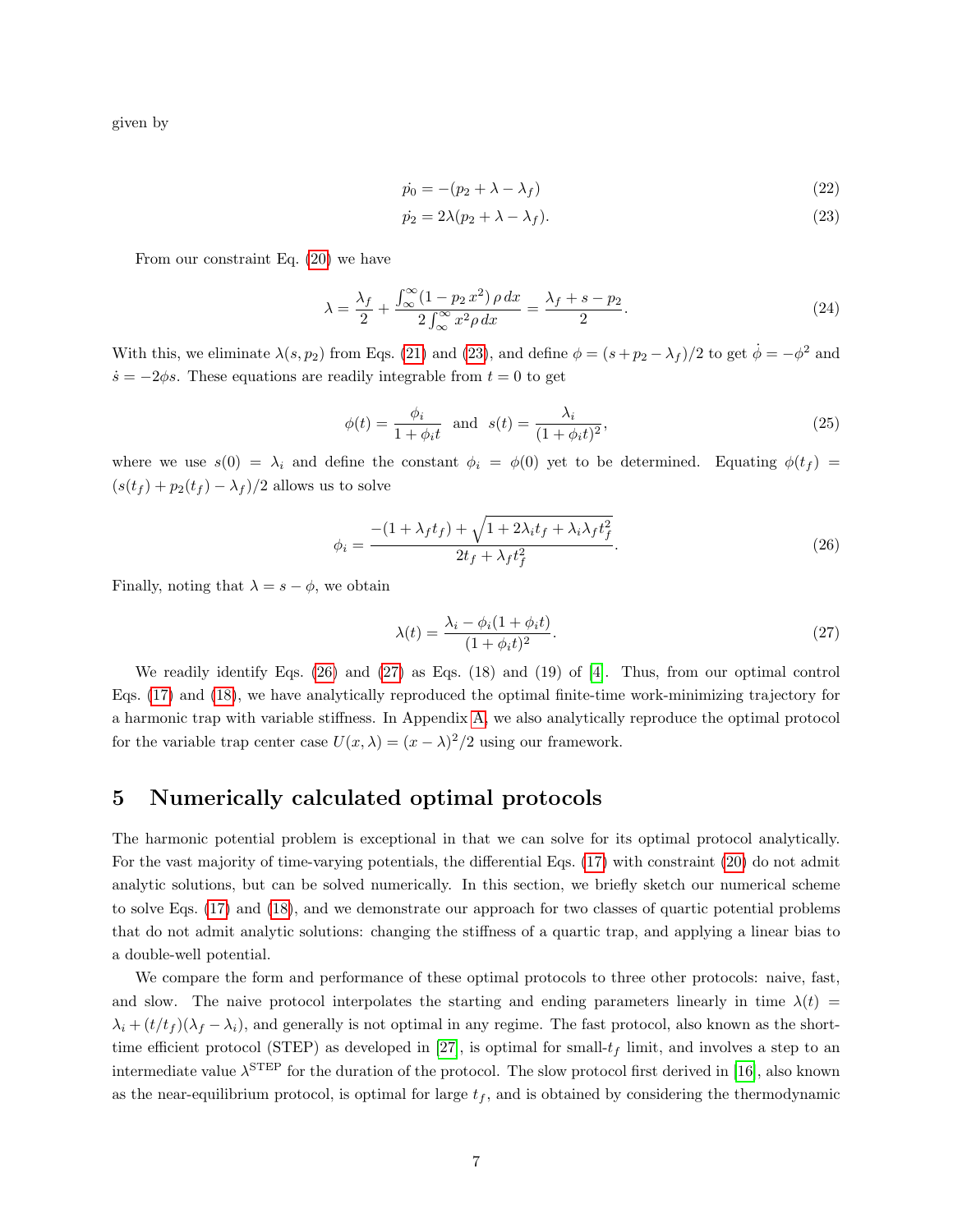given by

<span id="page-6-0"></span>
$$
\dot{p}_0 = -(p_2 + \lambda - \lambda_f) \tag{22}
$$

$$
\dot{p_2} = 2\lambda (p_2 + \lambda - \lambda_f). \tag{23}
$$

From our constraint Eq. [\(20\)](#page-5-1) we have

$$
\lambda = \frac{\lambda_f}{2} + \frac{\int_{\infty}^{\infty} (1 - p_2 x^2) \rho dx}{2 \int_{\infty}^{\infty} x^2 \rho dx} = \frac{\lambda_f + s - p_2}{2}.
$$
\n(24)

With this, we eliminate  $\lambda(s, p_2)$  from Eqs. [\(21\)](#page-5-2) and [\(23\)](#page-6-0), and define  $\phi = (s + p_2 - \lambda_f)/2$  to get  $\dot{\phi} = -\phi^2$  and  $\dot{s} = -2\phi s$ . These equations are readily integrable from  $t = 0$  to get

$$
\phi(t) = \frac{\phi_i}{1 + \phi_i t} \quad \text{and} \quad s(t) = \frac{\lambda_i}{(1 + \phi_i t)^2},\tag{25}
$$

where we use  $s(0) = \lambda_i$  and define the constant  $\phi_i = \phi(0)$  yet to be determined. Equating  $\phi(t_f)$  $(s(t_f) + p_2(t_f) - \lambda_f)/2$  allows us to solve

<span id="page-6-1"></span>
$$
\phi_i = \frac{-(1+\lambda_f t_f) + \sqrt{1+2\lambda_i t_f + \lambda_i \lambda_f t_f^2}}{2t_f + \lambda_f t_f^2}.
$$
\n(26)

Finally, noting that  $\lambda = s - \phi$ , we obtain

<span id="page-6-2"></span>
$$
\lambda(t) = \frac{\lambda_i - \phi_i(1 + \phi_i t)}{(1 + \phi_i t)^2}.
$$
\n(27)

We readily identify Eqs. [\(26\)](#page-6-1) and [\(27\)](#page-6-2) as Eqs. (18) and (19) of [\[4\]](#page-13-3). Thus, from our optimal control Eqs. [\(17\)](#page-4-0) and [\(18\)](#page-4-1), we have analytically reproduced the optimal finite-time work-minimizing trajectory for a harmonic trap with variable stiffness. In Appendix [A,](#page-17-0) we also analytically reproduce the optimal protocol for the variable trap center case  $U(x, \lambda) = (x - \lambda)^2/2$  using our framework.

# 5 Numerically calculated optimal protocols

The harmonic potential problem is exceptional in that we can solve for its optimal protocol analytically. For the vast majority of time-varying potentials, the differential Eqs. [\(17\)](#page-4-0) with constraint [\(20\)](#page-5-1) do not admit analytic solutions, but can be solved numerically. In this section, we briefly sketch our numerical scheme to solve Eqs. [\(17\)](#page-4-0) and [\(18\)](#page-4-1), and we demonstrate our approach for two classes of quartic potential problems that do not admit analytic solutions: changing the stiffness of a quartic trap, and applying a linear bias to a double-well potential.

We compare the form and performance of these optimal protocols to three other protocols: naive, fast, and slow. The naive protocol interpolates the starting and ending parameters linearly in time  $\lambda(t)$  =  $\lambda_i + (t/t_f)(\lambda_f - \lambda_i)$ , and generally is not optimal in any regime. The fast protocol, also known as the short-time efficient protocol (STEP) as developed in [\[27\]](#page-14-17), is optimal for small- $t_f$  limit, and involves a step to an intermediate value  $\lambda^{\rm STEP}$  for the duration of the protocol. The slow protocol first derived in [\[16\]](#page-14-6), also known as the near-equilibrium protocol, is optimal for large  $t_f$ , and is obtained by considering the thermodynamic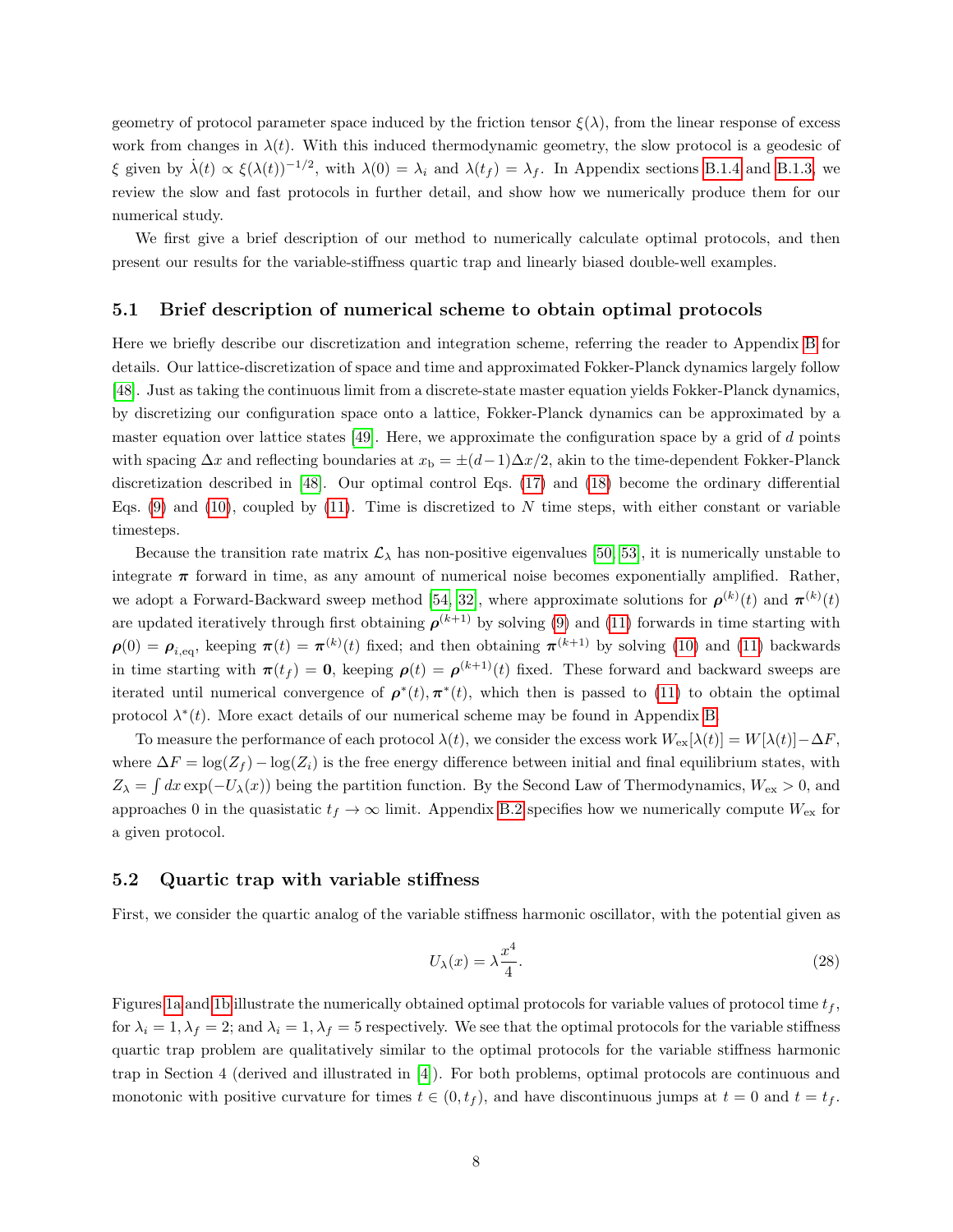geometry of protocol parameter space induced by the friction tensor  $\xi(\lambda)$ , from the linear response of excess work from changes in  $\lambda(t)$ . With this induced thermodynamic geometry, the slow protocol is a geodesic of ξ given by  $\dot{\lambda}(t) \propto \xi(\lambda(t))^{-1/2}$ , with  $\lambda(0) = \lambda_i$  and  $\lambda(t_f) = \lambda_f$ . In Appendix sections [B.1.4](#page-20-0) and [B.1.3,](#page-20-1) we review the slow and fast protocols in further detail, and show how we numerically produce them for our numerical study.

We first give a brief description of our method to numerically calculate optimal protocols, and then present our results for the variable-stiffness quartic trap and linearly biased double-well examples.

#### 5.1 Brief description of numerical scheme to obtain optimal protocols

Here we briefly describe our discretization and integration scheme, referring the reader to Appendix [B](#page-18-0) for details. Our lattice-discretization of space and time and approximated Fokker-Planck dynamics largely follow [\[48\]](#page-16-0). Just as taking the continuous limit from a discrete-state master equation yields Fokker-Planck dynamics, by discretizing our configuration space onto a lattice, Fokker-Planck dynamics can be approximated by a master equation over lattice states [\[49\]](#page-16-1). Here, we approximate the configuration space by a grid of d points with spacing  $\Delta x$  and reflecting boundaries at  $x_b = \pm (d-1)\Delta x/2$ , akin to the time-dependent Fokker-Planck discretization described in [\[48\]](#page-16-0). Our optimal control Eqs. [\(17\)](#page-4-0) and [\(18\)](#page-4-1) become the ordinary differential Eqs. [\(9\)](#page-3-1) and [\(10\)](#page-3-2), coupled by [\(11\)](#page-3-3). Time is discretized to N time steps, with either constant or variable timesteps.

Because the transition rate matrix  $\mathcal{L}_{\lambda}$  has non-positive eigenvalues [\[50,](#page-16-2) [53\]](#page-16-5), it is numerically unstable to integrate  $\pi$  forward in time, as any amount of numerical noise becomes exponentially amplified. Rather, we adopt a Forward-Backward sweep method [\[54,](#page-16-6) [32\]](#page-15-3), where approximate solutions for  $\rho^{(k)}(t)$  and  $\pi^{(k)}(t)$ are updated iteratively through first obtaining  $\rho^{(k+1)}$  by solving [\(9\)](#page-3-1) and [\(11\)](#page-3-3) forwards in time starting with  $\rho(0) = \rho_{i,eq}$ , keeping  $\pi(t) = \pi^{(k)}(t)$  fixed; and then obtaining  $\pi^{(k+1)}$  by solving [\(10\)](#page-3-2) and [\(11\)](#page-3-3) backwards in time starting with  $\pi(t_f) = 0$ , keeping  $\rho(t) = \rho^{(k+1)}(t)$  fixed. These forward and backward sweeps are iterated until numerical convergence of  $\rho^*(t), \pi^*(t)$ , which then is passed to [\(11\)](#page-3-3) to obtain the optimal protocol  $\lambda^*(t)$ . More exact details of our numerical scheme may be found in Appendix [B.](#page-18-0)

To measure the performance of each protocol  $\lambda(t)$ , we consider the excess work  $W_{ex}[\lambda(t)] = W[\lambda(t)] - \Delta F$ , where  $\Delta F = \log(Z_f) - \log(Z_i)$  is the free energy difference between initial and final equilibrium states, with  $Z_{\lambda} = \int dx \exp(-U_{\lambda}(x))$  being the partition function. By the Second Law of Thermodynamics,  $W_{\text{ex}} > 0$ , and approaches 0 in the quasistatic  $t_f \to \infty$  limit. Appendix [B.2](#page-21-0) specifies how we numerically compute  $W_{\rm ex}$  for a given protocol.

#### 5.2 Quartic trap with variable stiffness

First, we consider the quartic analog of the variable stiffness harmonic oscillator, with the potential given as

$$
U_{\lambda}(x) = \lambda \frac{x^4}{4}.\tag{28}
$$

Figures [1a](#page-8-0) and [1b](#page-8-0) illustrate the numerically obtained optimal protocols for variable values of protocol time  $t_f$ , for  $\lambda_i = 1, \lambda_f = 2$ ; and  $\lambda_i = 1, \lambda_f = 5$  respectively. We see that the optimal protocols for the variable stiffness quartic trap problem are qualitatively similar to the optimal protocols for the variable stiffness harmonic trap in Section 4 (derived and illustrated in [\[4\]](#page-13-3)). For both problems, optimal protocols are continuous and monotonic with positive curvature for times  $t \in (0, t_f)$ , and have discontinuous jumps at  $t = 0$  and  $t = t_f$ .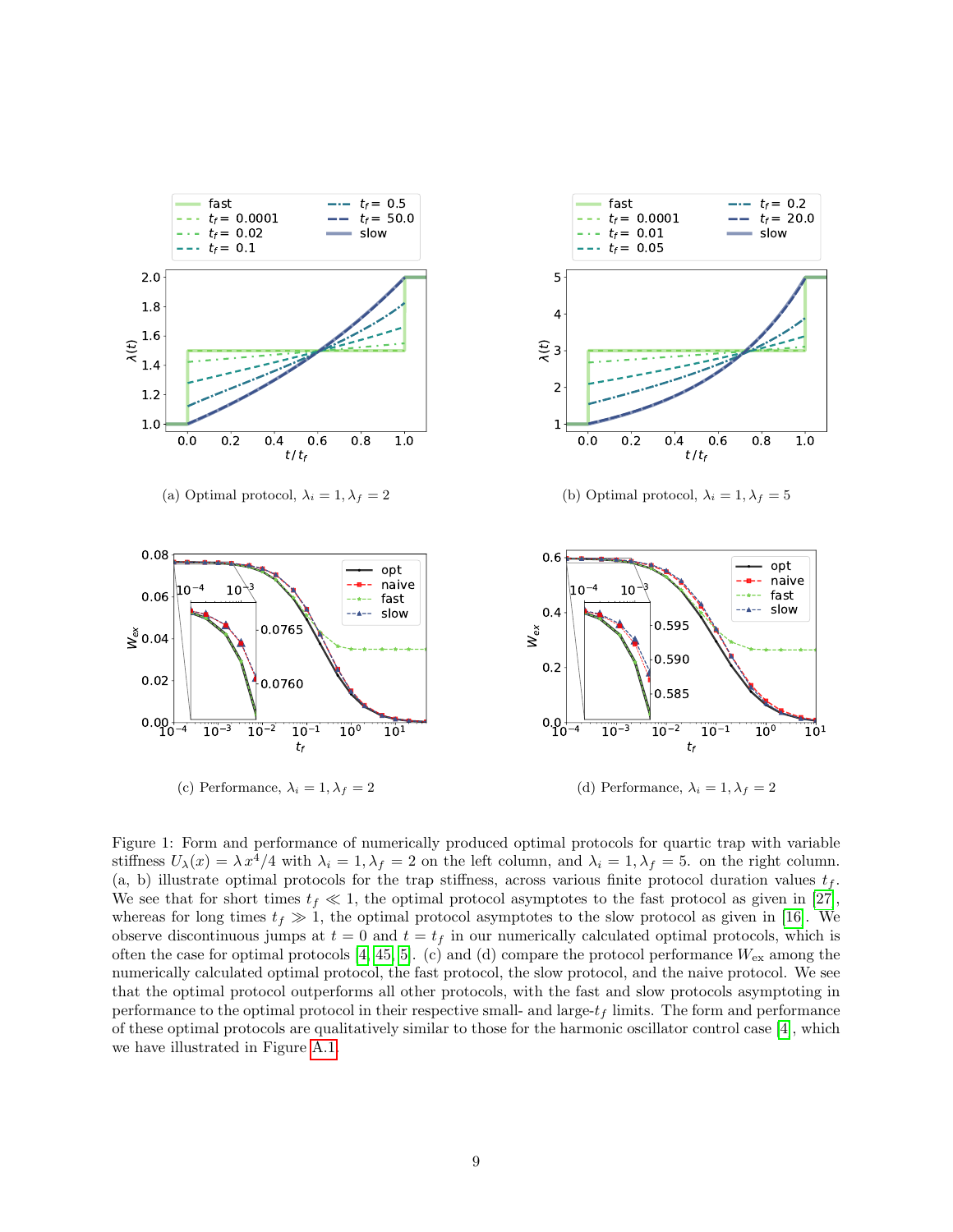<span id="page-8-0"></span>

Figure 1: Form and performance of numerically produced optimal protocols for quartic trap with variable stiffness  $U_{\lambda}(x) = \lambda x^4/4$  with  $\lambda_i = 1, \lambda_f = 2$  on the left column, and  $\lambda_i = 1, \lambda_f = 5$ . on the right column. (a, b) illustrate optimal protocols for the trap stiffness, across various finite protocol duration values  $t_f$ . We see that for short times  $t_f \ll 1$ , the optimal protocol asymptotes to the fast protocol as given in [\[27\]](#page-14-17), whereas for long times  $t_f \gg 1$ , the optimal protocol asymptotes to the slow protocol as given in [\[16\]](#page-14-6). We observe discontinuous jumps at  $t = 0$  and  $t = t_f$  in our numerically calculated optimal protocols, which is often the case for optimal protocols [\[4,](#page-13-3) [45,](#page-15-16) [5\]](#page-13-4). (c) and (d) compare the protocol performance  $W_{\rm ex}$  among the numerically calculated optimal protocol, the fast protocol, the slow protocol, and the naive protocol. We see that the optimal protocol outperforms all other protocols, with the fast and slow protocols asymptoting in performance to the optimal protocol in their respective small- and large- $t_f$  limits. The form and performance of these optimal protocols are qualitatively similar to those for the harmonic oscillator control case [\[4\]](#page-13-3), which we have illustrated in Figure [A.1.](#page-25-0)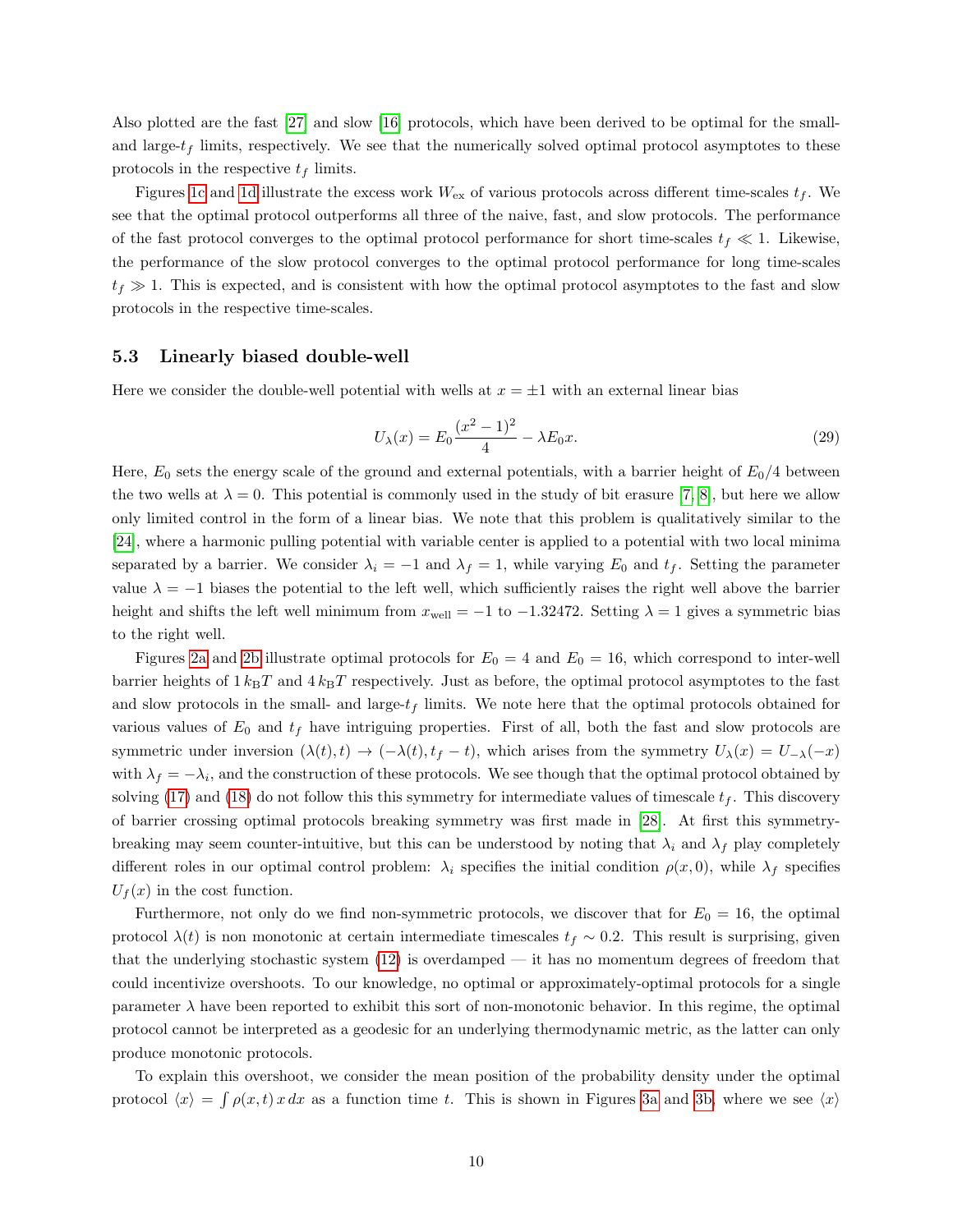Also plotted are the fast [\[27\]](#page-14-17) and slow [\[16\]](#page-14-6) protocols, which have been derived to be optimal for the smalland large- $t_f$  limits, respectively. We see that the numerically solved optimal protocol asymptotes to these protocols in the respective  $t_f$  limits.

Figures [1c](#page-8-0) and [1d](#page-8-0) illustrate the excess work  $W_{\rm ex}$  of various protocols across different time-scales  $t_f$ . We see that the optimal protocol outperforms all three of the naive, fast, and slow protocols. The performance of the fast protocol converges to the optimal protocol performance for short time-scales  $t_f \ll 1$ . Likewise, the performance of the slow protocol converges to the optimal protocol performance for long time-scales  $t_f \gg 1$ . This is expected, and is consistent with how the optimal protocol asymptotes to the fast and slow protocols in the respective time-scales.

#### 5.3 Linearly biased double-well

Here we consider the double-well potential with wells at  $x = \pm 1$  with an external linear bias

$$
U_{\lambda}(x) = E_0 \frac{(x^2 - 1)^2}{4} - \lambda E_0 x.
$$
 (29)

Here,  $E_0$  sets the energy scale of the ground and external potentials, with a barrier height of  $E_0/4$  between the two wells at  $\lambda = 0$ . This potential is commonly used in the study of bit erasure [\[7,](#page-13-6) [8\]](#page-13-7), but here we allow only limited control in the form of a linear bias. We note that this problem is qualitatively similar to the [\[24\]](#page-14-14), where a harmonic pulling potential with variable center is applied to a potential with two local minima separated by a barrier. We consider  $\lambda_i = -1$  and  $\lambda_f = 1$ , while varying  $E_0$  and  $t_f$ . Setting the parameter value  $\lambda = -1$  biases the potential to the left well, which sufficiently raises the right well above the barrier height and shifts the left well minimum from  $x_{well} = -1$  to  $-1.32472$ . Setting  $\lambda = 1$  gives a symmetric bias to the right well.

Figures [2a](#page-10-0) and [2b](#page-10-0) illustrate optimal protocols for  $E_0 = 4$  and  $E_0 = 16$ , which correspond to inter-well barrier heights of  $1 k_{\text{B}}T$  and  $4 k_{\text{B}}T$  respectively. Just as before, the optimal protocol asymptotes to the fast and slow protocols in the small- and large- $t_f$  limits. We note here that the optimal protocols obtained for various values of  $E_0$  and  $t_f$  have intriguing properties. First of all, both the fast and slow protocols are symmetric under inversion  $(\lambda(t), t) \to (-\lambda(t), t_f - t)$ , which arises from the symmetry  $U_\lambda(x) = U_{-\lambda}(-x)$ with  $\lambda_f = -\lambda_i$ , and the construction of these protocols. We see though that the optimal protocol obtained by solving [\(17\)](#page-4-0) and [\(18\)](#page-4-1) do not follow this this symmetry for intermediate values of timescale  $t_f$ . This discovery of barrier crossing optimal protocols breaking symmetry was first made in [\[28\]](#page-14-18). At first this symmetrybreaking may seem counter-intuitive, but this can be understood by noting that  $\lambda_i$  and  $\lambda_f$  play completely different roles in our optimal control problem:  $\lambda_i$  specifies the initial condition  $\rho(x, 0)$ , while  $\lambda_f$  specifies  $U_f(x)$  in the cost function.

Furthermore, not only do we find non-symmetric protocols, we discover that for  $E_0 = 16$ , the optimal protocol  $\lambda(t)$  is non monotonic at certain intermediate timescales  $t_f \sim 0.2$ . This result is surprising, given that the underlying stochastic system [\(12\)](#page-4-4) is overdamped — it has no momentum degrees of freedom that could incentivize overshoots. To our knowledge, no optimal or approximately-optimal protocols for a single parameter  $\lambda$  have been reported to exhibit this sort of non-monotonic behavior. In this regime, the optimal protocol cannot be interpreted as a geodesic for an underlying thermodynamic metric, as the latter can only produce monotonic protocols.

To explain this overshoot, we consider the mean position of the probability density under the optimal protocol  $\langle x \rangle = \int \rho(x, t) x dx$  as a function time t. This is shown in Figures [3a](#page-11-0) and [3b,](#page-11-0) where we see  $\langle x \rangle$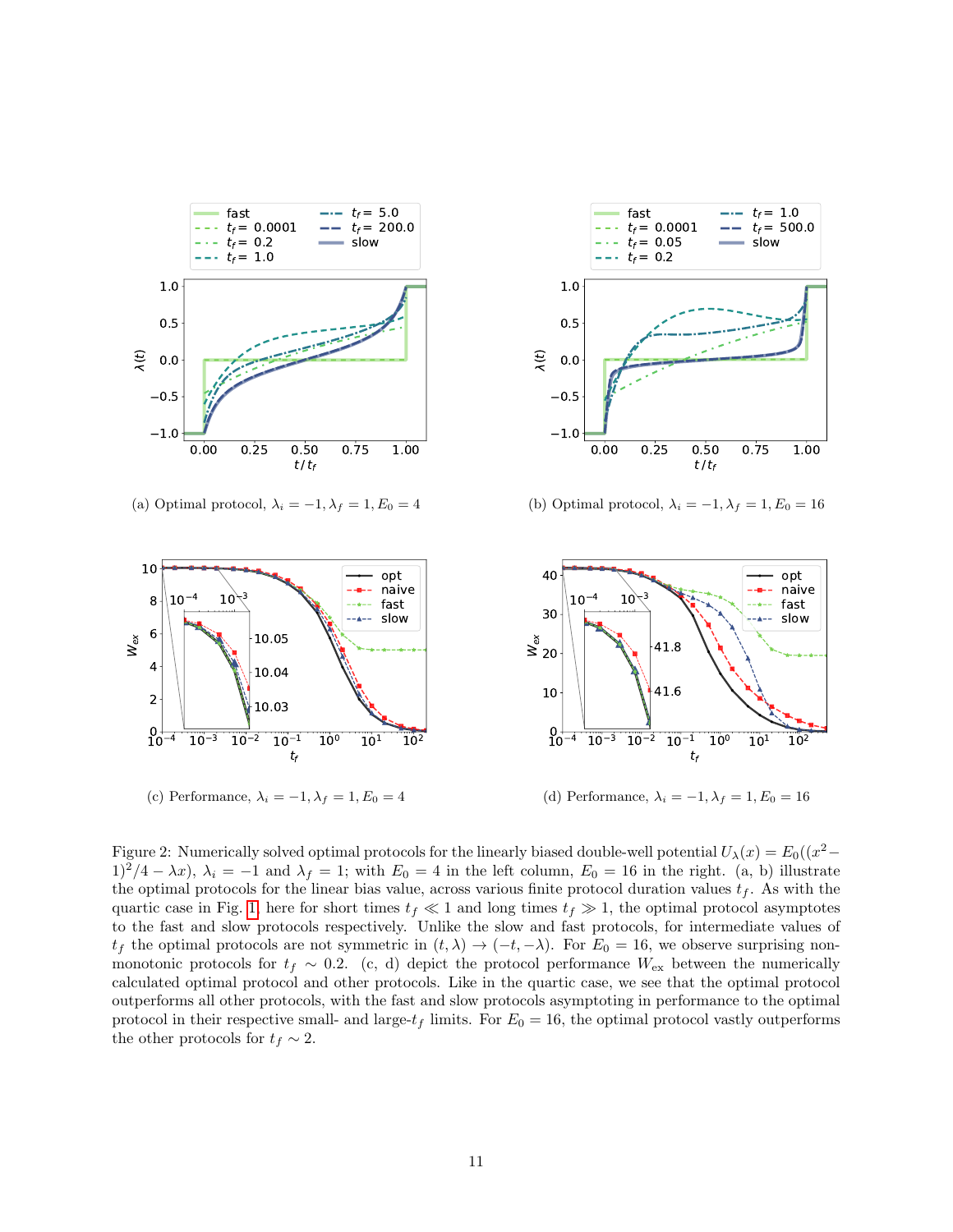<span id="page-10-0"></span>

(a) Optimal protocol,  $\lambda_i = -1, \lambda_f = 1, E_0 = 4$ 



(b) Optimal protocol,  $\lambda_i = -1, \lambda_f = 1, E_0 = 16$ 



Figure 2: Numerically solved optimal protocols for the linearly biased double-well potential  $U_\lambda(x) = E_0((x^2 1)^2/4 - \lambda x$ ,  $\lambda_i = -1$  and  $\lambda_f = 1$ ; with  $E_0 = 4$  in the left column,  $E_0 = 16$  in the right. (a, b) illustrate the optimal protocols for the linear bias value, across various finite protocol duration values  $t_f$ . As with the quartic case in Fig. [1,](#page-8-0) here for short times  $t_f \ll 1$  and long times  $t_f \gg 1$ , the optimal protocol asymptotes to the fast and slow protocols respectively. Unlike the slow and fast protocols, for intermediate values of  $t_f$  the optimal protocols are not symmetric in  $(t, \lambda) \to (-t, -\lambda)$ . For  $E_0 = 16$ , we observe surprising nonmonotonic protocols for  $t_f \sim 0.2$ . (c, d) depict the protocol performance  $W_{\text{ex}}$  between the numerically calculated optimal protocol and other protocols. Like in the quartic case, we see that the optimal protocol outperforms all other protocols, with the fast and slow protocols asymptoting in performance to the optimal protocol in their respective small- and large- $t_f$  limits. For  $E_0 = 16$ , the optimal protocol vastly outperforms the other protocols for  $t_f \sim 2$ .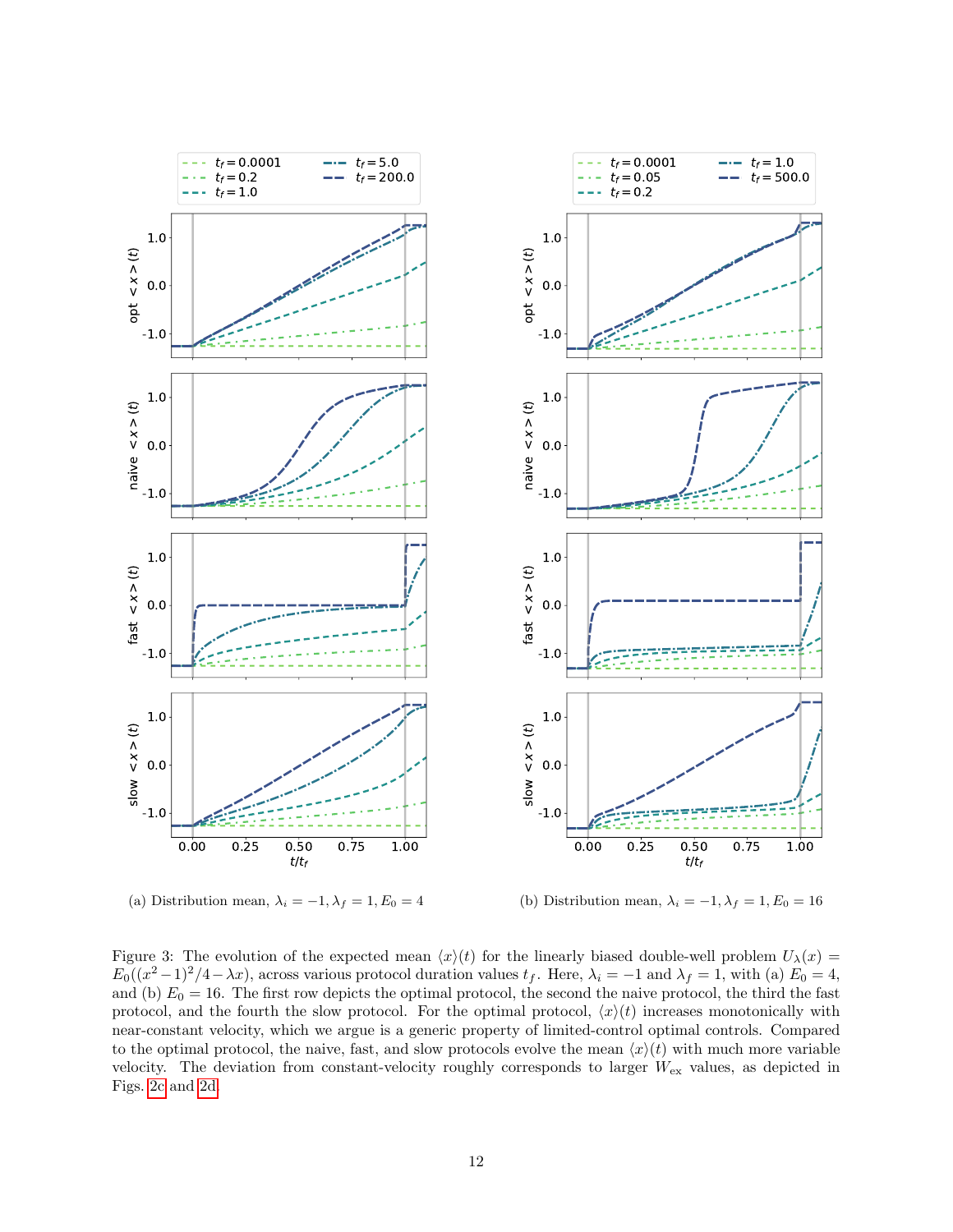<span id="page-11-0"></span>

(a) Distribution mean,  $\lambda_i = -1, \lambda_f = 1, E_0 = 4$ (b) Distribution mean,  $\lambda_i = -1, \lambda_f = 1, E_0 = 16$ 

Figure 3: The evolution of the expected mean  $\langle x \rangle(t)$  for the linearly biased double-well problem  $U_\lambda(x)$  =  $E_0((x^2-1)^2/4-\lambda x)$ , across various protocol duration values  $t_f$ . Here,  $\lambda_i = -1$  and  $\lambda_f = 1$ , with (a)  $E_0 = 4$ , and (b)  $E_0 = 16$ . The first row depicts the optimal protocol, the second the naive protocol, the third the fast protocol, and the fourth the slow protocol. For the optimal protocol,  $\langle x \rangle(t)$  increases monotonically with near-constant velocity, which we argue is a generic property of limited-control optimal controls. Compared to the optimal protocol, the naive, fast, and slow protocols evolve the mean  $\langle x \rangle(t)$  with much more variable velocity. The deviation from constant-velocity roughly corresponds to larger  $W_{\text{ex}}$  values, as depicted in Figs. [2c](#page-10-0) and [2d.](#page-10-0)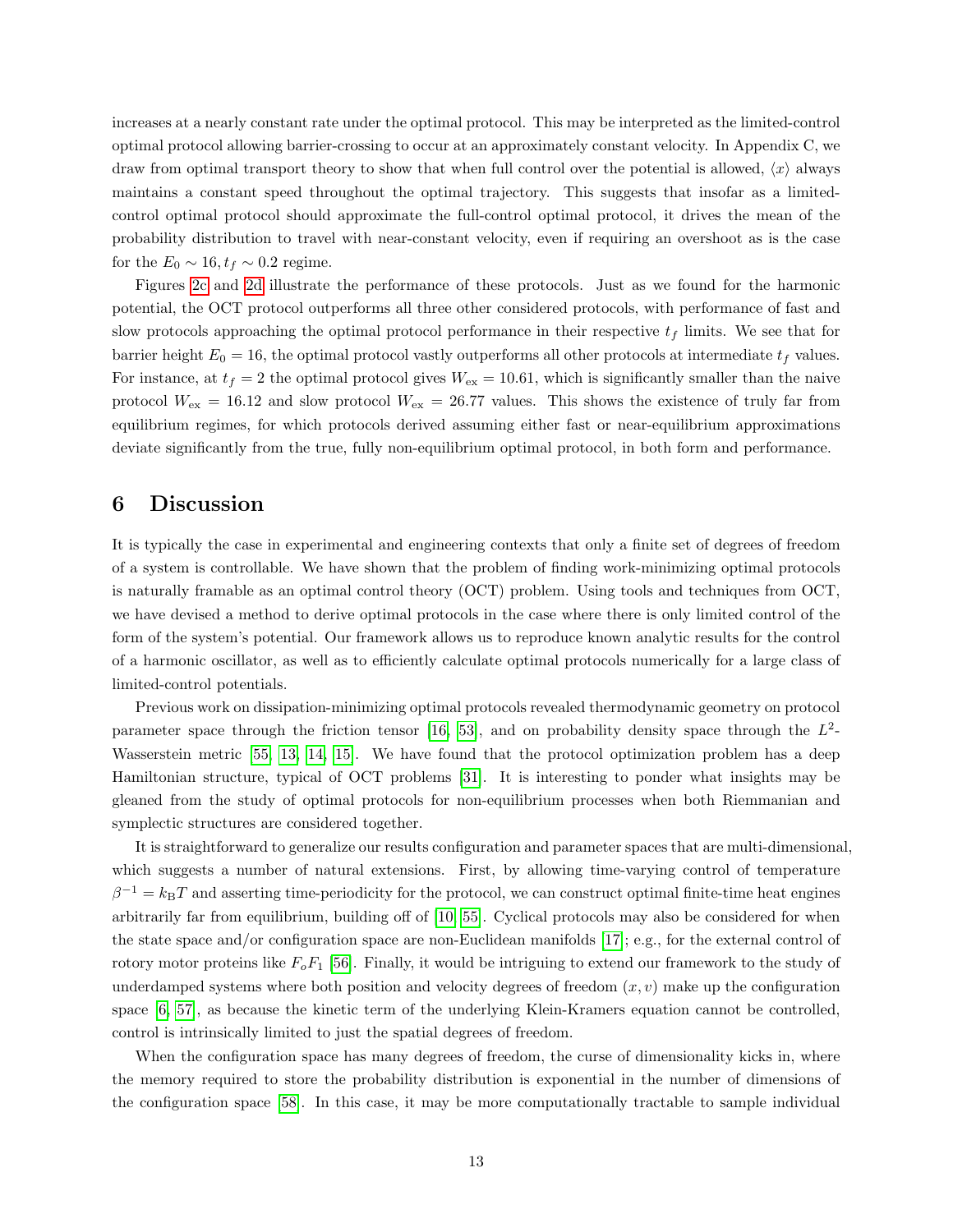increases at a nearly constant rate under the optimal protocol. This may be interpreted as the limited-control optimal protocol allowing barrier-crossing to occur at an approximately constant velocity. In Appendix C, we draw from optimal transport theory to show that when full control over the potential is allowed,  $\langle x \rangle$  always maintains a constant speed throughout the optimal trajectory. This suggests that insofar as a limitedcontrol optimal protocol should approximate the full-control optimal protocol, it drives the mean of the probability distribution to travel with near-constant velocity, even if requiring an overshoot as is the case for the  $E_0 \sim 16, t_f \sim 0.2$  regime.

Figures [2c](#page-10-0) and [2d](#page-10-0) illustrate the performance of these protocols. Just as we found for the harmonic potential, the OCT protocol outperforms all three other considered protocols, with performance of fast and slow protocols approaching the optimal protocol performance in their respective  $t_f$  limits. We see that for barrier height  $E_0 = 16$ , the optimal protocol vastly outperforms all other protocols at intermediate  $t_f$  values. For instance, at  $t_f = 2$  the optimal protocol gives  $W_{ex} = 10.61$ , which is significantly smaller than the naive protocol  $W_{\text{ex}} = 16.12$  and slow protocol  $W_{\text{ex}} = 26.77$  values. This shows the existence of truly far from equilibrium regimes, for which protocols derived assuming either fast or near-equilibrium approximations deviate significantly from the true, fully non-equilibrium optimal protocol, in both form and performance.

### 6 Discussion

It is typically the case in experimental and engineering contexts that only a finite set of degrees of freedom of a system is controllable. We have shown that the problem of finding work-minimizing optimal protocols is naturally framable as an optimal control theory (OCT) problem. Using tools and techniques from OCT, we have devised a method to derive optimal protocols in the case where there is only limited control of the form of the system's potential. Our framework allows us to reproduce known analytic results for the control of a harmonic oscillator, as well as to efficiently calculate optimal protocols numerically for a large class of limited-control potentials.

Previous work on dissipation-minimizing optimal protocols revealed thermodynamic geometry on protocol parameter space through the friction tensor [\[16,](#page-14-6) [53\]](#page-16-5), and on probability density space through the  $L^2$ -Wasserstein metric [\[55,](#page-16-7) [13,](#page-14-3) [14,](#page-14-4) [15\]](#page-14-5). We have found that the protocol optimization problem has a deep Hamiltonian structure, typical of OCT problems [\[31\]](#page-15-2). It is interesting to ponder what insights may be gleaned from the study of optimal protocols for non-equilibrium processes when both Riemmanian and symplectic structures are considered together.

It is straightforward to generalize our results configuration and parameter spaces that are multi-dimensional, which suggests a number of natural extensions. First, by allowing time-varying control of temperature  $\beta^{-1} = k_B T$  and asserting time-periodicity for the protocol, we can construct optimal finite-time heat engines arbitrarily far from equilibrium, building off of [\[10,](#page-14-0) [55\]](#page-16-7). Cyclical protocols may also be considered for when the state space and/or configuration space are non-Euclidean manifolds [\[17\]](#page-14-7); e.g., for the external control of rotory motor proteins like  $F_oF_1$  [\[56\]](#page-16-8). Finally, it would be intriguing to extend our framework to the study of underdamped systems where both position and velocity degrees of freedom  $(x, v)$  make up the configuration space [\[6,](#page-13-5) [57\]](#page-16-9), as because the kinetic term of the underlying Klein-Kramers equation cannot be controlled, control is intrinsically limited to just the spatial degrees of freedom.

When the configuration space has many degrees of freedom, the curse of dimensionality kicks in, where the memory required to store the probability distribution is exponential in the number of dimensions of the configuration space [\[58\]](#page-16-10). In this case, it may be more computationally tractable to sample individual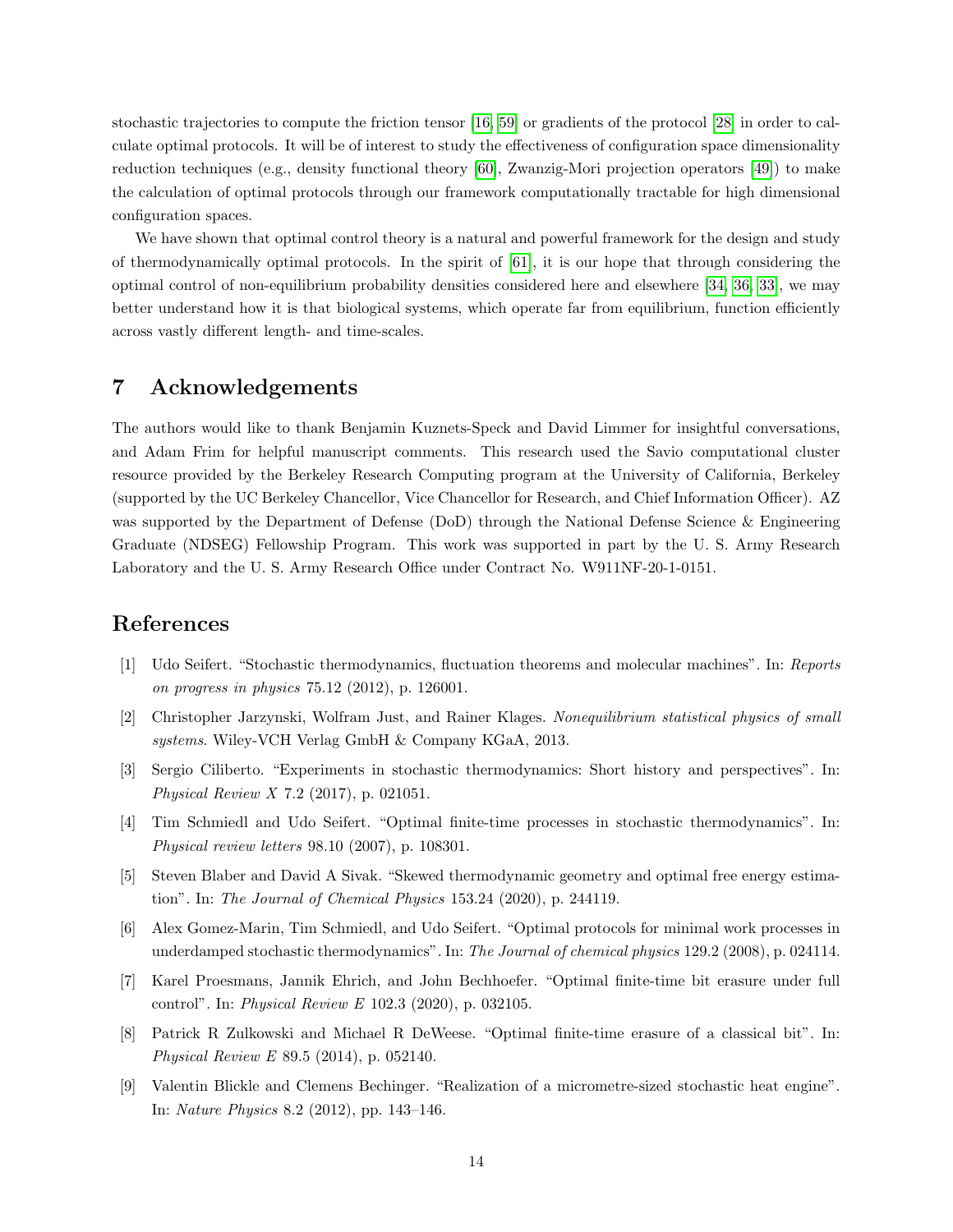stochastic trajectories to compute the friction tensor [\[16,](#page-14-6) [59\]](#page-16-11) or gradients of the protocol [\[28\]](#page-14-18) in order to calculate optimal protocols. It will be of interest to study the effectiveness of configuration space dimensionality reduction techniques (e.g., density functional theory [\[60\]](#page-16-12), Zwanzig-Mori projection operators [\[49\]](#page-16-1)) to make the calculation of optimal protocols through our framework computationally tractable for high dimensional configuration spaces.

We have shown that optimal control theory is a natural and powerful framework for the design and study of thermodynamically optimal protocols. In the spirit of [\[61\]](#page-16-13), it is our hope that through considering the optimal control of non-equilibrium probability densities considered here and elsewhere [\[34,](#page-15-5) [36,](#page-15-7) [33\]](#page-15-4), we may better understand how it is that biological systems, which operate far from equilibrium, function efficiently across vastly different length- and time-scales.

# 7 Acknowledgements

The authors would like to thank Benjamin Kuznets-Speck and David Limmer for insightful conversations, and Adam Frim for helpful manuscript comments. This research used the Savio computational cluster resource provided by the Berkeley Research Computing program at the University of California, Berkeley (supported by the UC Berkeley Chancellor, Vice Chancellor for Research, and Chief Information Officer). AZ was supported by the Department of Defense (DoD) through the National Defense Science & Engineering Graduate (NDSEG) Fellowship Program. This work was supported in part by the U. S. Army Research Laboratory and the U. S. Army Research Office under Contract No. W911NF-20-1-0151.

# References

- <span id="page-13-0"></span>[1] Udo Seifert. "Stochastic thermodynamics, fluctuation theorems and molecular machines". In: Reports on progress in physics 75.12 (2012), p. 126001.
- <span id="page-13-1"></span>[2] Christopher Jarzynski, Wolfram Just, and Rainer Klages. Nonequilibrium statistical physics of small systems. Wiley-VCH Verlag GmbH & Company KGaA, 2013.
- <span id="page-13-2"></span>[3] Sergio Ciliberto. "Experiments in stochastic thermodynamics: Short history and perspectives". In: Physical Review X 7.2 (2017), p. 021051.
- <span id="page-13-3"></span>[4] Tim Schmiedl and Udo Seifert. "Optimal finite-time processes in stochastic thermodynamics". In: Physical review letters 98.10 (2007), p. 108301.
- <span id="page-13-4"></span>[5] Steven Blaber and David A Sivak. "Skewed thermodynamic geometry and optimal free energy estimation". In: The Journal of Chemical Physics 153.24 (2020), p. 244119.
- <span id="page-13-5"></span>[6] Alex Gomez-Marin, Tim Schmiedl, and Udo Seifert. "Optimal protocols for minimal work processes in underdamped stochastic thermodynamics". In: The Journal of chemical physics 129.2 (2008), p. 024114.
- <span id="page-13-6"></span>[7] Karel Proesmans, Jannik Ehrich, and John Bechhoefer. "Optimal finite-time bit erasure under full control". In: Physical Review E 102.3 (2020), p. 032105.
- <span id="page-13-7"></span>[8] Patrick R Zulkowski and Michael R DeWeese. "Optimal finite-time erasure of a classical bit". In: Physical Review E 89.5 (2014), p. 052140.
- <span id="page-13-8"></span>[9] Valentin Blickle and Clemens Bechinger. "Realization of a micrometre-sized stochastic heat engine". In: Nature Physics 8.2 (2012), pp. 143–146.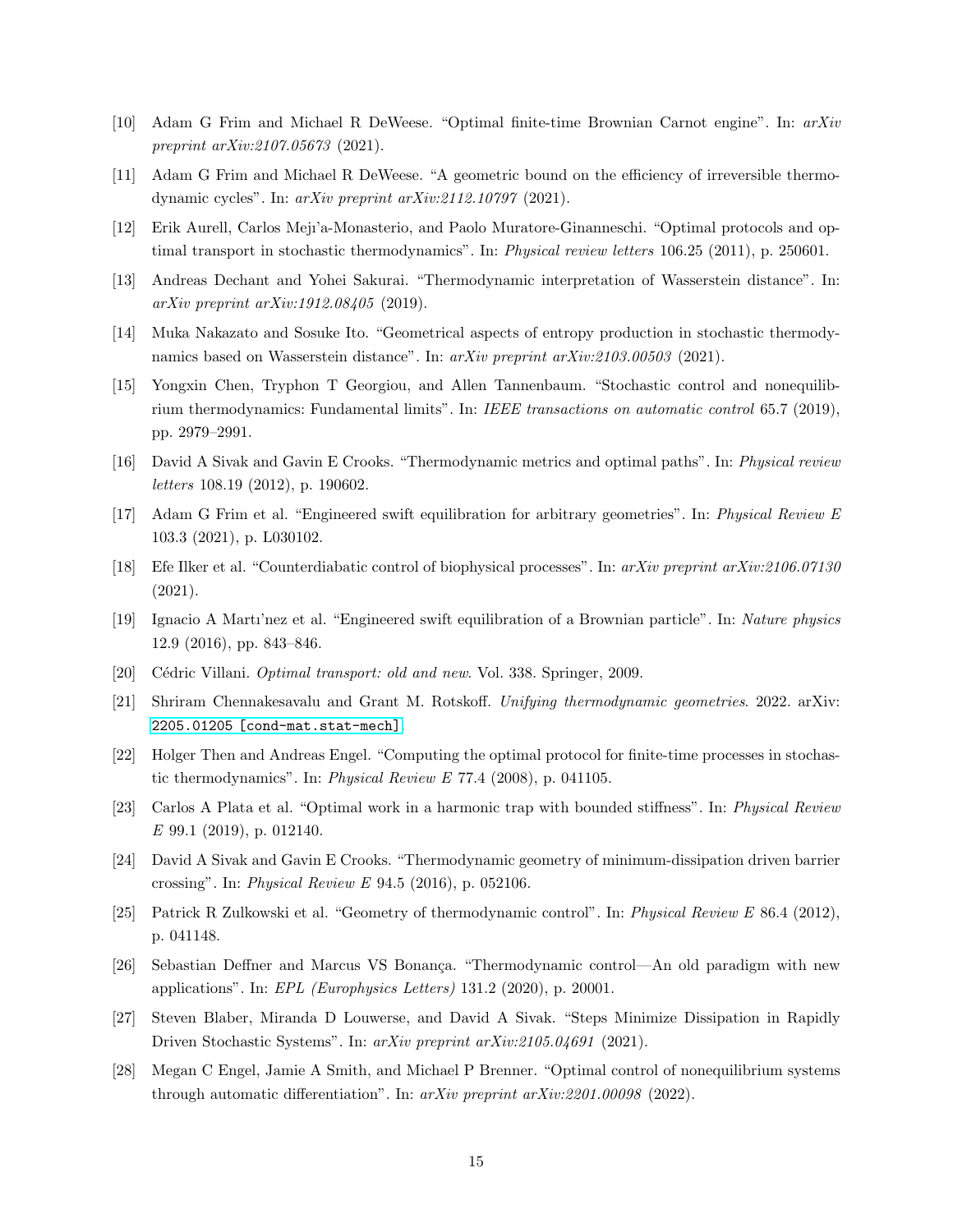- <span id="page-14-0"></span>[10] Adam G Frim and Michael R DeWeese. "Optimal finite-time Brownian Carnot engine". In: arXiv preprint arXiv:2107.05673 (2021).
- <span id="page-14-1"></span>[11] Adam G Frim and Michael R DeWeese. "A geometric bound on the efficiency of irreversible thermodynamic cycles". In: arXiv preprint arXiv:2112.10797 (2021).
- <span id="page-14-2"></span>[12] Erik Aurell, Carlos Mejı'a-Monasterio, and Paolo Muratore-Ginanneschi. "Optimal protocols and optimal transport in stochastic thermodynamics". In: Physical review letters 106.25 (2011), p. 250601.
- <span id="page-14-3"></span>[13] Andreas Dechant and Yohei Sakurai. "Thermodynamic interpretation of Wasserstein distance". In: arXiv preprint arXiv:1912.08405 (2019).
- <span id="page-14-4"></span>[14] Muka Nakazato and Sosuke Ito. "Geometrical aspects of entropy production in stochastic thermodynamics based on Wasserstein distance". In: arXiv preprint arXiv:2103.00503 (2021).
- <span id="page-14-5"></span>[15] Yongxin Chen, Tryphon T Georgiou, and Allen Tannenbaum. "Stochastic control and nonequilibrium thermodynamics: Fundamental limits". In: IEEE transactions on automatic control 65.7 (2019), pp. 2979–2991.
- <span id="page-14-6"></span>[16] David A Sivak and Gavin E Crooks. "Thermodynamic metrics and optimal paths". In: Physical review letters 108.19 (2012), p. 190602.
- <span id="page-14-7"></span>[17] Adam G Frim et al. "Engineered swift equilibration for arbitrary geometries". In: Physical Review E 103.3 (2021), p. L030102.
- <span id="page-14-8"></span>[18] Efe Ilker et al. "Counterdiabatic control of biophysical processes". In: arXiv preprint arXiv:2106.07130 (2021).
- <span id="page-14-9"></span>[19] Ignacio A Martı'nez et al. "Engineered swift equilibration of a Brownian particle". In: Nature physics 12.9 (2016), pp. 843–846.
- <span id="page-14-10"></span>[20] Cédric Villani. *Optimal transport: old and new.* Vol. 338. Springer, 2009.
- <span id="page-14-11"></span>[21] Shriram Chennakesavalu and Grant M. Rotskoff. Unifying thermodynamic geometries. 2022. arXiv: [2205.01205 \[cond-mat.stat-mech\]](https://arxiv.org/abs/2205.01205).
- <span id="page-14-12"></span>[22] Holger Then and Andreas Engel. "Computing the optimal protocol for finite-time processes in stochastic thermodynamics". In: Physical Review E 77.4 (2008), p. 041105.
- <span id="page-14-13"></span>[23] Carlos A Plata et al. "Optimal work in a harmonic trap with bounded stiffness". In: Physical Review E 99.1 (2019), p. 012140.
- <span id="page-14-14"></span>[24] David A Sivak and Gavin E Crooks. "Thermodynamic geometry of minimum-dissipation driven barrier crossing". In: Physical Review E 94.5 (2016), p. 052106.
- <span id="page-14-15"></span>[25] Patrick R Zulkowski et al. "Geometry of thermodynamic control". In: Physical Review E 86.4 (2012), p. 041148.
- <span id="page-14-16"></span>[26] Sebastian Deffner and Marcus VS Bonança. "Thermodynamic control—An old paradigm with new applications". In: EPL (Europhysics Letters) 131.2 (2020), p. 20001.
- <span id="page-14-17"></span>[27] Steven Blaber, Miranda D Louwerse, and David A Sivak. "Steps Minimize Dissipation in Rapidly Driven Stochastic Systems". In: arXiv preprint arXiv:2105.04691 (2021).
- <span id="page-14-18"></span>[28] Megan C Engel, Jamie A Smith, and Michael P Brenner. "Optimal control of nonequilibrium systems through automatic differentiation". In: arXiv preprint arXiv:2201.00098 (2022).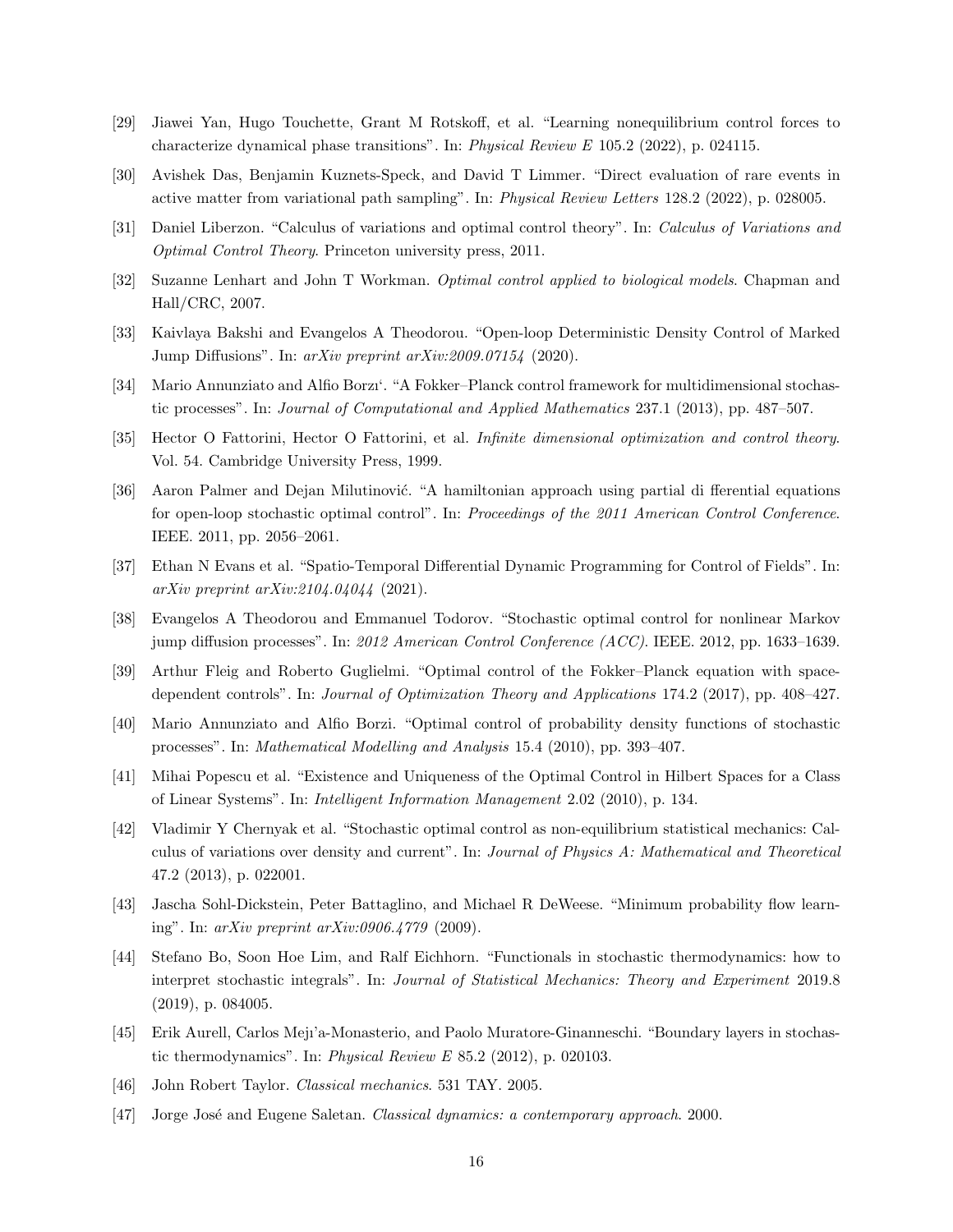- <span id="page-15-0"></span>[29] Jiawei Yan, Hugo Touchette, Grant M Rotskoff, et al. "Learning nonequilibrium control forces to characterize dynamical phase transitions". In: Physical Review E 105.2 (2022), p. 024115.
- <span id="page-15-1"></span>[30] Avishek Das, Benjamin Kuznets-Speck, and David T Limmer. "Direct evaluation of rare events in active matter from variational path sampling". In: Physical Review Letters 128.2 (2022), p. 028005.
- <span id="page-15-2"></span>[31] Daniel Liberzon. "Calculus of variations and optimal control theory". In: Calculus of Variations and Optimal Control Theory. Princeton university press, 2011.
- <span id="page-15-3"></span>[32] Suzanne Lenhart and John T Workman. Optimal control applied to biological models. Chapman and Hall/CRC, 2007.
- <span id="page-15-4"></span>[33] Kaivlaya Bakshi and Evangelos A Theodorou. "Open-loop Deterministic Density Control of Marked Jump Diffusions". In: arXiv preprint arXiv:2009.07154 (2020).
- <span id="page-15-5"></span>[34] Mario Annunziato and Alfio Borzı'. "A Fokker–Planck control framework for multidimensional stochastic processes". In: Journal of Computational and Applied Mathematics 237.1 (2013), pp. 487–507.
- <span id="page-15-6"></span>[35] Hector O Fattorini, Hector O Fattorini, et al. Infinite dimensional optimization and control theory. Vol. 54. Cambridge University Press, 1999.
- <span id="page-15-7"></span>[36] Aaron Palmer and Dejan Milutinović. "A hamiltonian approach using partial di fferential equations for open-loop stochastic optimal control". In: Proceedings of the 2011 American Control Conference. IEEE. 2011, pp. 2056–2061.
- <span id="page-15-8"></span>[37] Ethan N Evans et al. "Spatio-Temporal Differential Dynamic Programming for Control of Fields". In: arXiv preprint arXiv:2104.04044 (2021).
- <span id="page-15-9"></span>[38] Evangelos A Theodorou and Emmanuel Todorov. "Stochastic optimal control for nonlinear Markov jump diffusion processes". In: 2012 American Control Conference (ACC). IEEE. 2012, pp. 1633–1639.
- <span id="page-15-10"></span>[39] Arthur Fleig and Roberto Guglielmi. "Optimal control of the Fokker–Planck equation with spacedependent controls". In: Journal of Optimization Theory and Applications 174.2 (2017), pp. 408–427.
- <span id="page-15-11"></span>[40] Mario Annunziato and Alfio Borzi. "Optimal control of probability density functions of stochastic processes". In: Mathematical Modelling and Analysis 15.4 (2010), pp. 393–407.
- <span id="page-15-12"></span>[41] Mihai Popescu et al. "Existence and Uniqueness of the Optimal Control in Hilbert Spaces for a Class of Linear Systems". In: Intelligent Information Management 2.02 (2010), p. 134.
- <span id="page-15-13"></span>[42] Vladimir Y Chernyak et al. "Stochastic optimal control as non-equilibrium statistical mechanics: Calculus of variations over density and current". In: Journal of Physics A: Mathematical and Theoretical 47.2 (2013), p. 022001.
- <span id="page-15-14"></span>[43] Jascha Sohl-Dickstein, Peter Battaglino, and Michael R DeWeese. "Minimum probability flow learning". In: arXiv preprint arXiv:0906.4779 (2009).
- <span id="page-15-15"></span>[44] Stefano Bo, Soon Hoe Lim, and Ralf Eichhorn. "Functionals in stochastic thermodynamics: how to interpret stochastic integrals". In: Journal of Statistical Mechanics: Theory and Experiment 2019.8 (2019), p. 084005.
- <span id="page-15-16"></span>[45] Erik Aurell, Carlos Mejı'a-Monasterio, and Paolo Muratore-Ginanneschi. "Boundary layers in stochastic thermodynamics". In: Physical Review E 85.2 (2012), p. 020103.
- <span id="page-15-17"></span>[46] John Robert Taylor. Classical mechanics. 531 TAY. 2005.
- <span id="page-15-18"></span>[47] Jorge José and Eugene Saletan. Classical dynamics: a contemporary approach. 2000.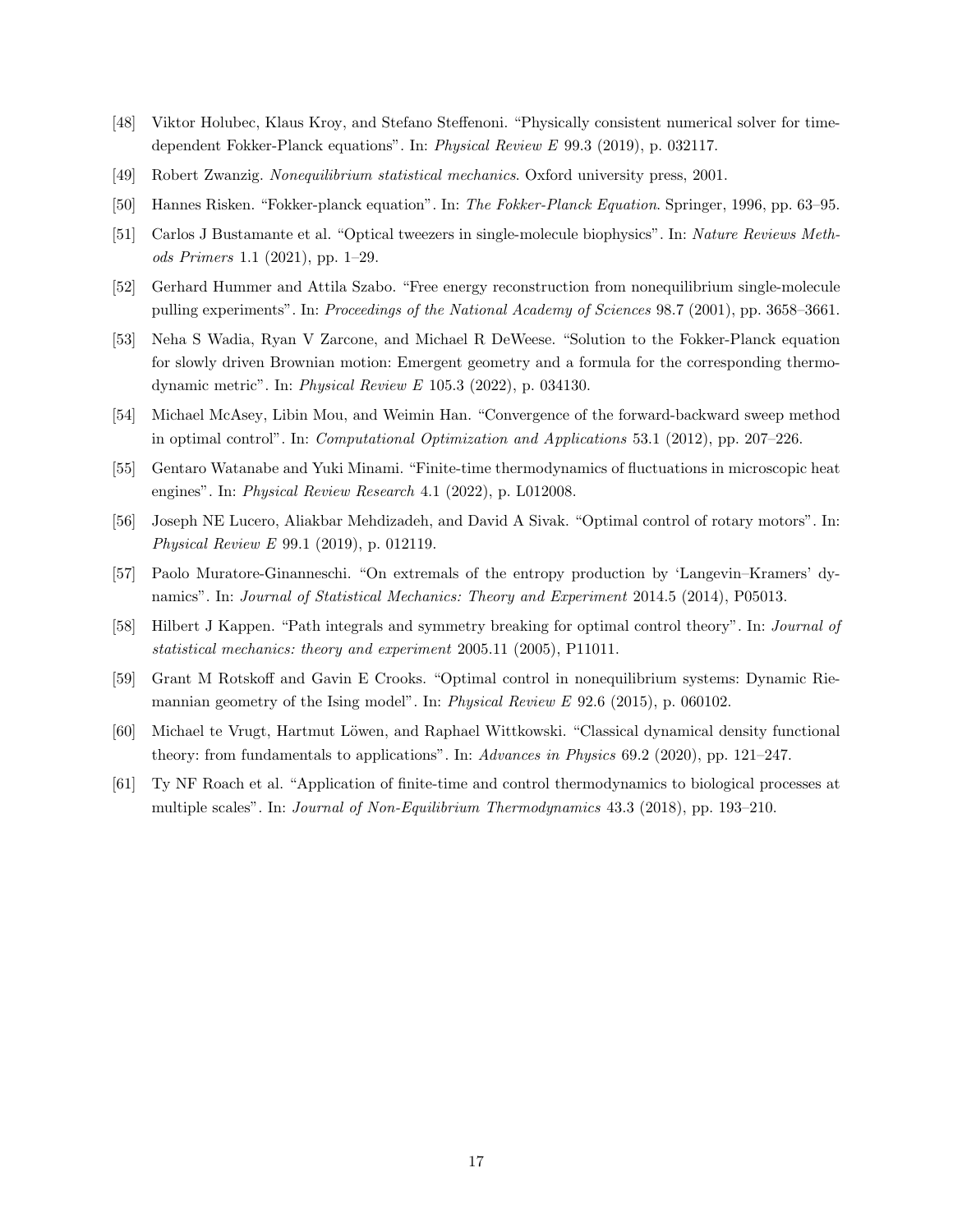- <span id="page-16-0"></span>[48] Viktor Holubec, Klaus Kroy, and Stefano Steffenoni. "Physically consistent numerical solver for timedependent Fokker-Planck equations". In: Physical Review E 99.3 (2019), p. 032117.
- <span id="page-16-1"></span>[49] Robert Zwanzig. Nonequilibrium statistical mechanics. Oxford university press, 2001.
- <span id="page-16-2"></span>[50] Hannes Risken. "Fokker-planck equation". In: The Fokker-Planck Equation. Springer, 1996, pp. 63–95.
- <span id="page-16-3"></span>[51] Carlos J Bustamante et al. "Optical tweezers in single-molecule biophysics". In: Nature Reviews Methods Primers 1.1 (2021), pp. 1–29.
- <span id="page-16-4"></span>[52] Gerhard Hummer and Attila Szabo. "Free energy reconstruction from nonequilibrium single-molecule pulling experiments". In: Proceedings of the National Academy of Sciences 98.7 (2001), pp. 3658–3661.
- <span id="page-16-5"></span>[53] Neha S Wadia, Ryan V Zarcone, and Michael R DeWeese. "Solution to the Fokker-Planck equation for slowly driven Brownian motion: Emergent geometry and a formula for the corresponding thermodynamic metric". In: Physical Review E 105.3 (2022), p. 034130.
- <span id="page-16-6"></span>[54] Michael McAsey, Libin Mou, and Weimin Han. "Convergence of the forward-backward sweep method in optimal control". In: Computational Optimization and Applications 53.1 (2012), pp. 207–226.
- <span id="page-16-7"></span>[55] Gentaro Watanabe and Yuki Minami. "Finite-time thermodynamics of fluctuations in microscopic heat engines". In: Physical Review Research 4.1 (2022), p. L012008.
- <span id="page-16-8"></span>[56] Joseph NE Lucero, Aliakbar Mehdizadeh, and David A Sivak. "Optimal control of rotary motors". In: Physical Review E 99.1 (2019), p. 012119.
- <span id="page-16-9"></span>[57] Paolo Muratore-Ginanneschi. "On extremals of the entropy production by 'Langevin–Kramers' dynamics". In: Journal of Statistical Mechanics: Theory and Experiment 2014.5 (2014), P05013.
- <span id="page-16-10"></span>[58] Hilbert J Kappen. "Path integrals and symmetry breaking for optimal control theory". In: Journal of statistical mechanics: theory and experiment 2005.11 (2005), P11011.
- <span id="page-16-11"></span>[59] Grant M Rotskoff and Gavin E Crooks. "Optimal control in nonequilibrium systems: Dynamic Riemannian geometry of the Ising model". In: Physical Review E 92.6 (2015), p. 060102.
- <span id="page-16-12"></span>[60] Michael te Vrugt, Hartmut Löwen, and Raphael Wittkowski. "Classical dynamical density functional theory: from fundamentals to applications". In: Advances in Physics 69.2 (2020), pp. 121–247.
- <span id="page-16-13"></span>[61] Ty NF Roach et al. "Application of finite-time and control thermodynamics to biological processes at multiple scales". In: Journal of Non-Equilibrium Thermodynamics 43.3 (2018), pp. 193–210.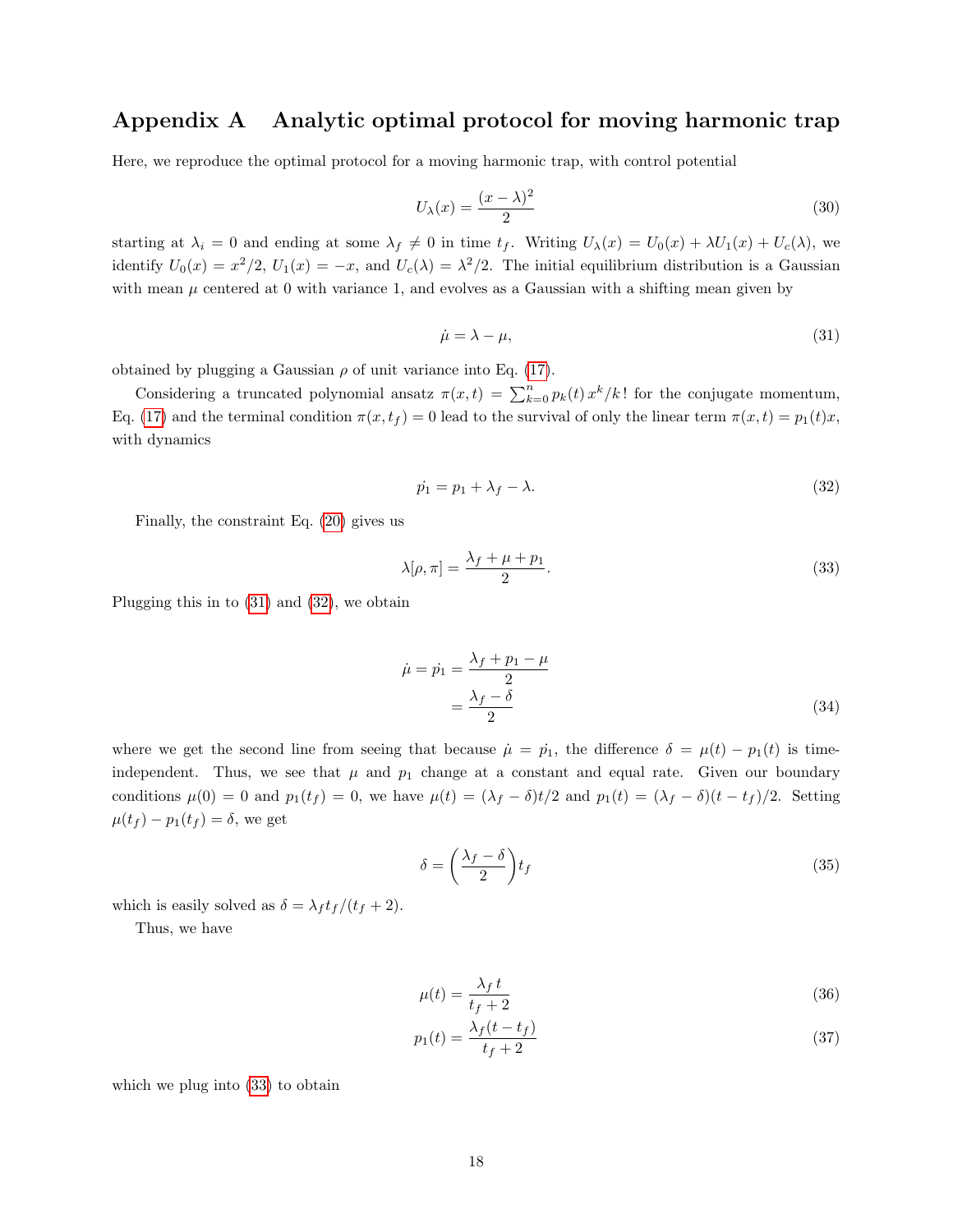# <span id="page-17-0"></span>Appendix A Analytic optimal protocol for moving harmonic trap

Here, we reproduce the optimal protocol for a moving harmonic trap, with control potential

$$
U_{\lambda}(x) = \frac{(x - \lambda)^2}{2} \tag{30}
$$

starting at  $\lambda_i = 0$  and ending at some  $\lambda_f \neq 0$  in time  $t_f$ . Writing  $U_\lambda(x) = U_0(x) + \lambda U_1(x) + U_c(\lambda)$ , we identify  $U_0(x) = x^2/2$ ,  $U_1(x) = -x$ , and  $U_c(\lambda) = \lambda^2/2$ . The initial equilibrium distribution is a Gaussian with mean  $\mu$  centered at 0 with variance 1, and evolves as a Gaussian with a shifting mean given by

<span id="page-17-1"></span>
$$
\dot{\mu} = \lambda - \mu,\tag{31}
$$

obtained by plugging a Gaussian  $\rho$  of unit variance into Eq. [\(17\)](#page-4-0).

Considering a truncated polynomial ansatz  $\pi(x,t) = \sum_{k=0}^{n} p_k(t) x^k / k!$  for the conjugate momentum, Eq. [\(17\)](#page-4-0) and the terminal condition  $\pi(x, t_f) = 0$  lead to the survival of only the linear term  $\pi(x, t) = p_1(t)x$ , with dynamics

<span id="page-17-2"></span>
$$
\dot{p}_1 = p_1 + \lambda_f - \lambda. \tag{32}
$$

Finally, the constraint Eq. [\(20\)](#page-5-1) gives us

<span id="page-17-3"></span>
$$
\lambda[\rho,\pi] = \frac{\lambda_f + \mu + p_1}{2}.\tag{33}
$$

Plugging this in to [\(31\)](#page-17-1) and [\(32\)](#page-17-2), we obtain

$$
\dot{\mu} = \dot{p}_1 = \frac{\lambda_f + p_1 - \mu}{2} = \frac{\lambda_f - \delta}{2} \tag{34}
$$

where we get the second line from seeing that because  $\mu = p_1$ , the difference  $\delta = \mu(t) - p_1(t)$  is timeindependent. Thus, we see that  $\mu$  and  $p_1$  change at a constant and equal rate. Given our boundary conditions  $\mu(0) = 0$  and  $p_1(t_f) = 0$ , we have  $\mu(t) = (\lambda_f - \delta)t/2$  and  $p_1(t) = (\lambda_f - \delta)(t - t_f)/2$ . Setting  $\mu(t_f) - p_1(t_f) = \delta$ , we get

$$
\delta = \left(\frac{\lambda_f - \delta}{2}\right) t_f \tag{35}
$$

which is easily solved as  $\delta = \lambda_f t_f/(t_f + 2)$ .

Thus, we have

<span id="page-17-4"></span>
$$
\mu(t) = \frac{\lambda_f \, t}{t_f + 2} \tag{36}
$$

$$
p_1(t) = \frac{\lambda_f(t - t_f)}{t_f + 2} \tag{37}
$$

which we plug into [\(33\)](#page-17-3) to obtain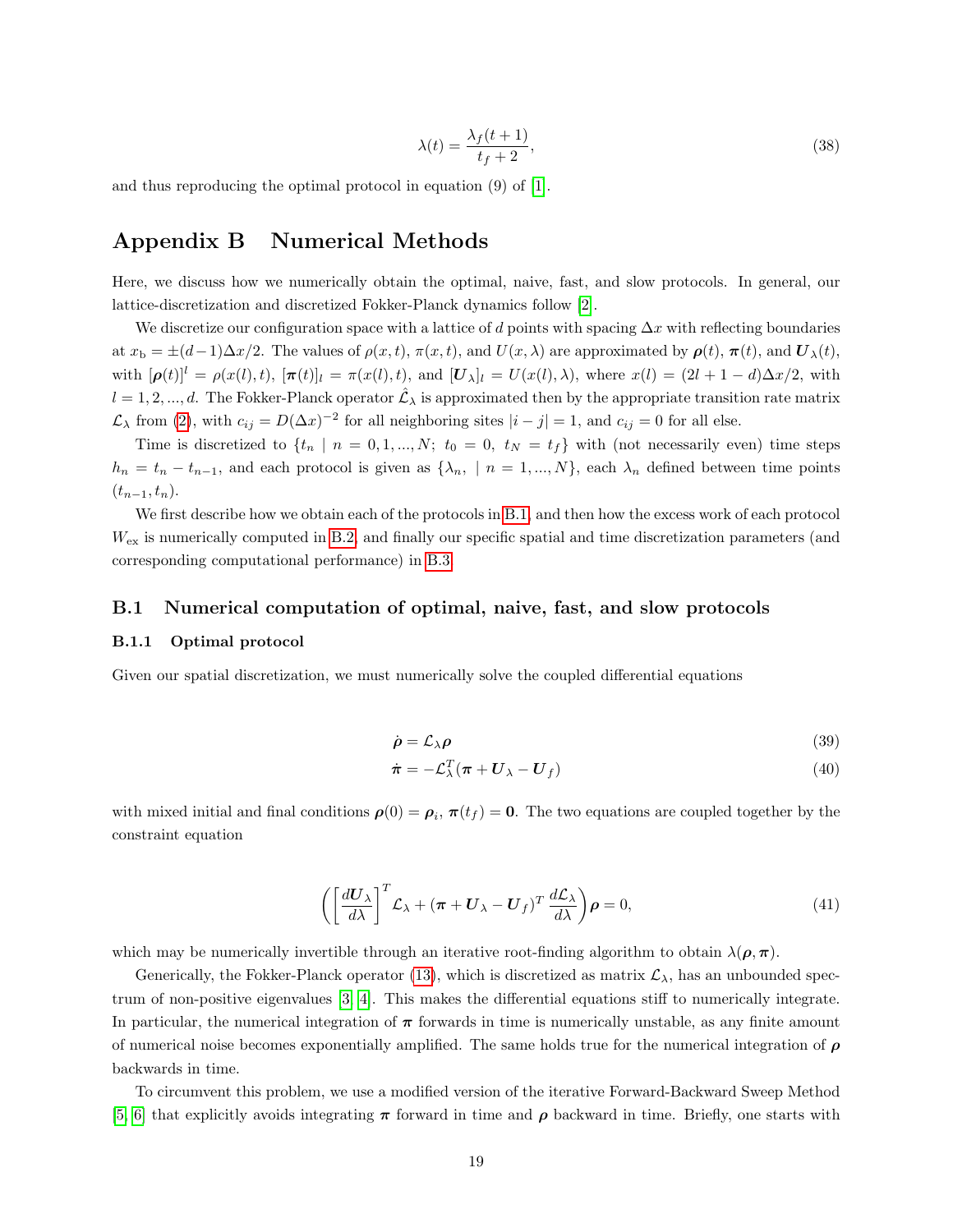$$
\lambda(t) = \frac{\lambda_f(t+1)}{t_f + 2},\tag{38}
$$

and thus reproducing the optimal protocol in equation (9) of [\[1\]](#page-27-0).

## <span id="page-18-0"></span>Appendix B Numerical Methods

Here, we discuss how we numerically obtain the optimal, naive, fast, and slow protocols. In general, our lattice-discretization and discretized Fokker-Planck dynamics follow [\[2\]](#page-27-1).

We discretize our configuration space with a lattice of d points with spacing  $\Delta x$  with reflecting boundaries at  $x_b = \pm(d-1)\Delta x/2$ . The values of  $\rho(x, t)$ ,  $\pi(x, t)$ , and  $U(x, \lambda)$  are approximated by  $\rho(t)$ ,  $\pi(t)$ , and  $U_{\lambda}(t)$ , with  $[\boldsymbol{\rho}(t)]^l = \rho(x(l), t)$ ,  $[\boldsymbol{\pi}(t)]_l = \pi(x(l), t)$ , and  $[\boldsymbol{U}_{\lambda}]_l = U(x(l), \lambda)$ , where  $x(l) = (2l + 1 - d)\Delta x/2$ , with  $l = 1, 2, ..., d$ . The Fokker-Planck operator  $\hat{\mathcal{L}}_{\lambda}$  is approximated then by the appropriate transition rate matrix  $\mathcal{L}_{\lambda}$  from [\(2\)](#page-2-2), with  $c_{ij} = D(\Delta x)^{-2}$  for all neighboring sites  $|i - j| = 1$ , and  $c_{ij} = 0$  for all else.

Time is discretized to  $\{t_n \mid n = 0, 1, ..., N; t_0 = 0, t_N = t_f\}$  with (not necessarily even) time steps  $h_n = t_n - t_{n-1}$ , and each protocol is given as  $\{\lambda_n, \mid n = 1, ..., N\}$ , each  $\lambda_n$  defined between time points  $(t_{n-1}, t_n)$ .

We first describe how we obtain each of the protocols in [B.1,](#page-18-1) and then how the excess work of each protocol  $W_{\text{ex}}$  is numerically computed in [B.2,](#page-21-0) and finally our specific spatial and time discretization parameters (and corresponding computational performance) in [B.3.](#page-22-0)

#### <span id="page-18-1"></span>B.1 Numerical computation of optimal, naive, fast, and slow protocols

#### B.1.1 Optimal protocol

Given our spatial discretization, we must numerically solve the coupled differential equations

<span id="page-18-2"></span>
$$
\dot{\rho} = \mathcal{L}_{\lambda} \rho \tag{39}
$$

<span id="page-18-4"></span><span id="page-18-3"></span>
$$
\dot{\boldsymbol{\pi}} = -\mathcal{L}_{\lambda}^{T}(\boldsymbol{\pi} + \boldsymbol{U}_{\lambda} - \boldsymbol{U}_{f})
$$
\n(40)

with mixed initial and final conditions  $\rho(0) = \rho_i$ ,  $\pi(t_f) = 0$ . The two equations are coupled together by the constraint equation

$$
\left( \left[ \frac{d\mathbf{U}_{\lambda}}{d\lambda} \right]^T \mathcal{L}_{\lambda} + (\boldsymbol{\pi} + \mathbf{U}_{\lambda} - \mathbf{U}_f)^T \frac{d\mathcal{L}_{\lambda}}{d\lambda} \right) \boldsymbol{\rho} = 0, \tag{41}
$$

which may be numerically invertible through an iterative root-finding algorithm to obtain  $\lambda(\rho,\pi)$ .

Generically, the Fokker-Planck operator [\(13\)](#page-4-5), which is discretized as matrix  $\mathcal{L}_{\lambda}$ , has an unbounded spectrum of non-positive eigenvalues [\[3,](#page-27-2) [4\]](#page-27-3). This makes the differential equations stiff to numerically integrate. In particular, the numerical integration of  $\pi$  forwards in time is numerically unstable, as any finite amount of numerical noise becomes exponentially amplified. The same holds true for the numerical integration of  $\rho$ backwards in time.

To circumvent this problem, we use a modified version of the iterative Forward-Backward Sweep Method [\[5,](#page-27-4) [6\]](#page-27-5) that explicitly avoids integrating  $\pi$  forward in time and  $\rho$  backward in time. Briefly, one starts with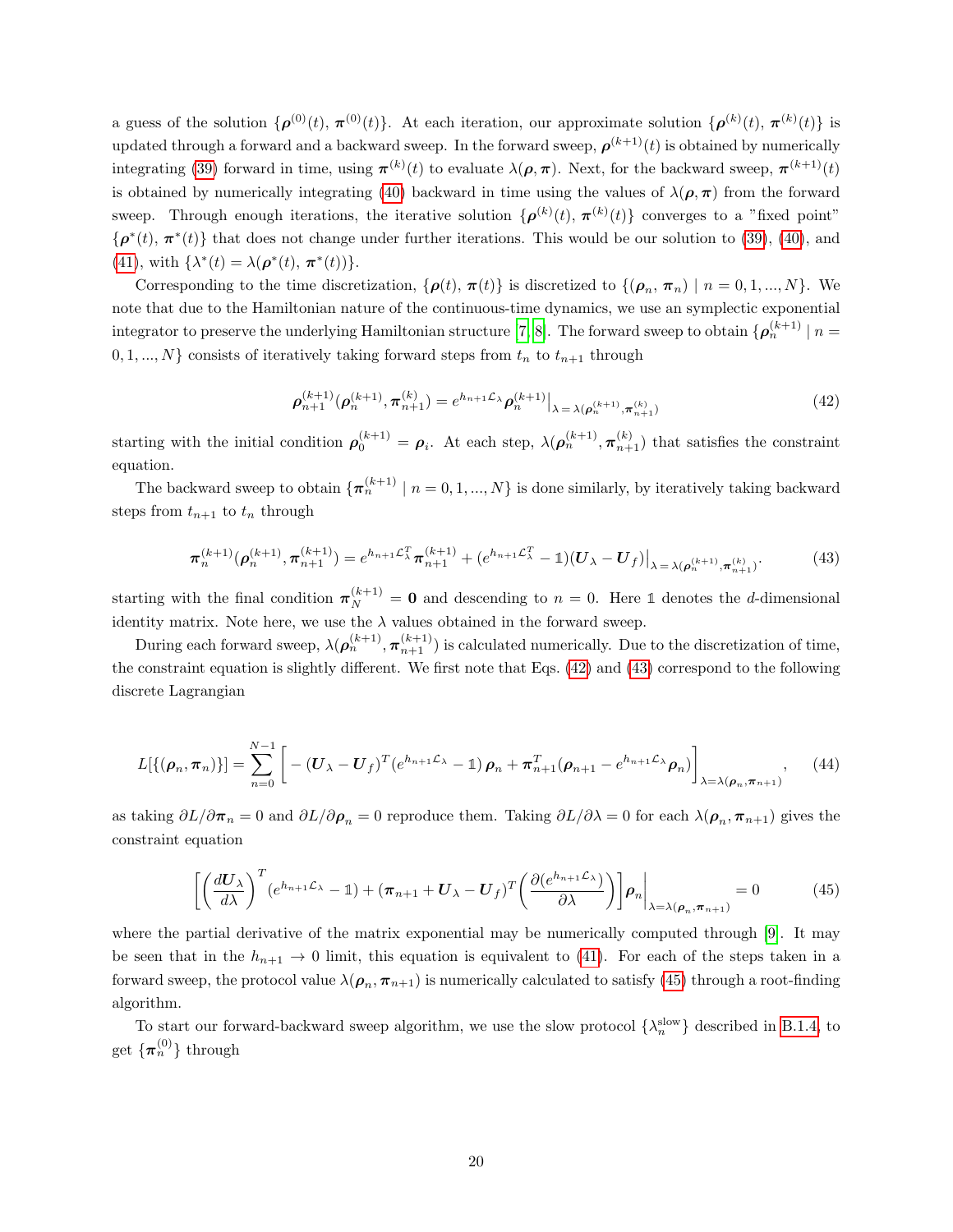a guess of the solution  $\{\boldsymbol{\rho}^{(0)}(t), \pi^{(0)}(t)\}\$ . At each iteration, our approximate solution  $\{\boldsymbol{\rho}^{(k)}(t), \pi^{(k)}(t)\}\$ is updated through a forward and a backward sweep. In the forward sweep,  $\rho^{(k+1)}(t)$  is obtained by numerically integrating [\(39\)](#page-18-2) forward in time, using  $\pi^{(k)}(t)$  to evaluate  $\lambda(\rho, \pi)$ . Next, for the backward sweep,  $\pi^{(k+1)}(t)$ is obtained by numerically integrating [\(40\)](#page-18-3) backward in time using the values of  $\lambda(\rho, \pi)$  from the forward sweep. Through enough iterations, the iterative solution  $\{\boldsymbol{\rho}^{(k)}(t), \boldsymbol{\pi}^{(k)}(t)\}\)$  converges to a "fixed point"  $\{\boldsymbol{\rho}^*(t), \boldsymbol{\pi}^*(t)\}\$  that does not change under further iterations. This would be our solution to [\(39\)](#page-18-2), [\(40\)](#page-18-3), and [\(41\)](#page-18-4), with  $\{\lambda^*(t) = \lambda(\boldsymbol{\rho}^*(t), \pi^*(t))\}.$ 

Corresponding to the time discretization,  $\{\boldsymbol{\rho}(t), \boldsymbol{\pi}(t)\}\$ is discretized to  $\{(\boldsymbol{\rho}_n, \boldsymbol{\pi}_n) \mid n = 0, 1, ..., N\}$ . We note that due to the Hamiltonian nature of the continuous-time dynamics, we use an symplectic exponential integrator to preserve the underlying Hamiltonian structure [\[7,](#page-27-6) [8\]](#page-27-7). The forward sweep to obtain  $\{\boldsymbol{\rho}_n^{(k+1)} \mid n = 1\}$  $0, 1, ..., N$  consists of iteratively taking forward steps from  $t_n$  to  $t_{n+1}$  through

<span id="page-19-0"></span>
$$
\rho_{n+1}^{(k+1)}(\rho_n^{(k+1)}, \pi_{n+1}^{(k)}) = e^{h_{n+1}\mathcal{L}_\lambda} \rho_n^{(k+1)}\big|_{\lambda = \lambda(\rho_n^{(k+1)}, \pi_{n+1}^{(k)})}
$$
(42)

starting with the initial condition  $\rho_0^{(k+1)} = \rho_i$ . At each step,  $\lambda(\rho_n^{(k+1)}, \pi_{n+1}^{(k)})$  that satisfies the constraint equation.

The backward sweep to obtain  $\{\pi_n^{(k+1)} \mid n = 0, 1, ..., N\}$  is done similarly, by iteratively taking backward steps from  $t_{n+1}$  to  $t_n$  through

<span id="page-19-1"></span>
$$
\pi_n^{(k+1)}(\boldsymbol{\rho}_n^{(k+1)}, \boldsymbol{\pi}_{n+1}^{(k+1)}) = e^{h_{n+1}\mathcal{L}_{\lambda}^T}\boldsymbol{\pi}_{n+1}^{(k+1)} + (e^{h_{n+1}\mathcal{L}_{\lambda}^T} - \mathbb{1})(\boldsymbol{U}_{\lambda} - \boldsymbol{U}_{f})\big|_{\lambda = \lambda(\boldsymbol{\rho}_n^{(k+1)}, \boldsymbol{\pi}_{n+1}^{(k)})}.
$$
(43)

starting with the final condition  $\pi_N^{(k+1)} = \mathbf{0}$  and descending to  $n = 0$ . Here 1 denotes the d-dimensional identity matrix. Note here, we use the  $\lambda$  values obtained in the forward sweep.

During each forward sweep,  $\lambda(\rho_n^{(k+1)}, \pi_{n+1}^{(k+1)})$  is calculated numerically. Due to the discretization of time, the constraint equation is slightly different. We first note that Eqs. [\(42\)](#page-19-0) and [\(43\)](#page-19-1) correspond to the following discrete Lagrangian

$$
L[{(\rho_n, \pi_n)}]=\sum_{n=0}^{N-1} \left[ -(U_{\lambda} - U_f)^T (e^{h_{n+1}\mathcal{L}_{\lambda}} - 1) \rho_n + \pi_{n+1}^T (\rho_{n+1} - e^{h_{n+1}\mathcal{L}_{\lambda}} \rho_n) \right]_{\lambda = \lambda(\rho_n, \pi_{n+1})}, \quad (44)
$$

as taking  $\partial L/\partial \pi_n = 0$  and  $\partial L/\partial \rho_n = 0$  reproduce them. Taking  $\partial L/\partial \lambda = 0$  for each  $\lambda(\rho_n, \pi_{n+1})$  gives the constraint equation

<span id="page-19-2"></span>
$$
\left[ \left( \frac{dU_{\lambda}}{d\lambda} \right)^{T} (e^{h_{n+1}\mathcal{L}_{\lambda}} - 1) + (\pi_{n+1} + U_{\lambda} - U_{f})^{T} \left( \frac{\partial (e^{h_{n+1}\mathcal{L}_{\lambda}})}{\partial\lambda} \right) \right] \rho_{n} \bigg|_{\lambda = \lambda(\rho_{n}, \pi_{n+1})} = 0 \tag{45}
$$

where the partial derivative of the matrix exponential may be numerically computed through [\[9\]](#page-27-8). It may be seen that in the  $h_{n+1} \to 0$  limit, this equation is equivalent to [\(41\)](#page-18-4). For each of the steps taken in a forward sweep, the protocol value  $\lambda(\rho_n, \pi_{n+1})$  is numerically calculated to satisfy [\(45\)](#page-19-2) through a root-finding algorithm.

To start our forward-backward sweep algorithm, we use the slow protocol  $\{\lambda_n^{\text{slow}}\}$  described in [B.1.4,](#page-20-0) to get  $\{\boldsymbol{\pi}_n^{(0)}\}$  through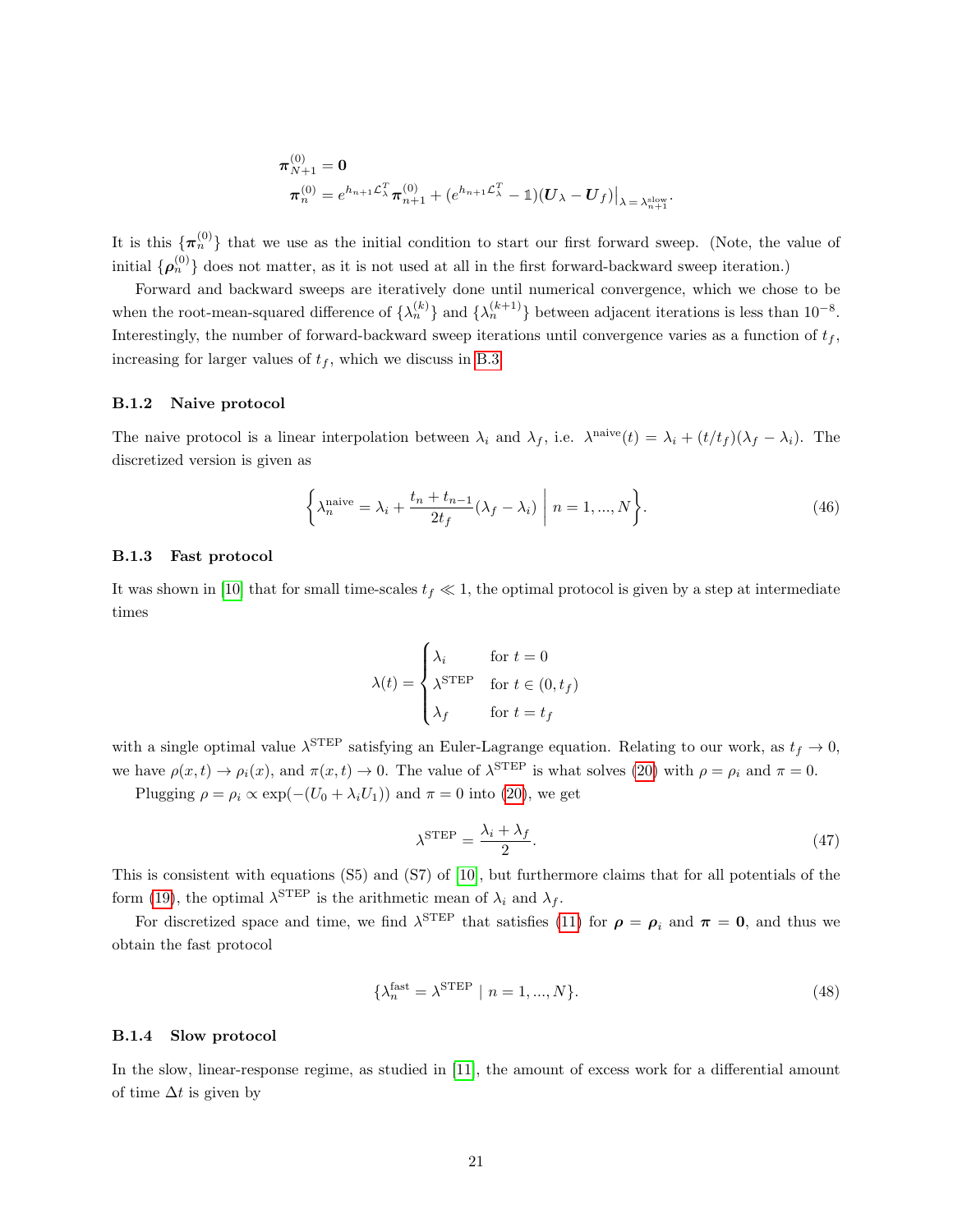$$
\begin{aligned}\n\boldsymbol{\pi}_{N+1}^{(0)} &= \mathbf{0} \\
\boldsymbol{\pi}_n^{(0)} &= e^{h_{n+1}\mathcal{L}_\lambda^T}\boldsymbol{\pi}_{n+1}^{(0)} + (e^{h_{n+1}\mathcal{L}_\lambda^T}-\mathbb{1})(\boldsymbol{U}_\lambda-\boldsymbol{U}_f)\big|_{\lambda=\lambda_{n+1}^{\mathrm{slow}}}.\n\end{aligned}
$$

It is this  $\{\pi_n^{(0)}\}$  that we use as the initial condition to start our first forward sweep. (Note, the value of initial  $\{\rho_n^{(0)}\}$  does not matter, as it is not used at all in the first forward-backward sweep iteration.)

Forward and backward sweeps are iteratively done until numerical convergence, which we chose to be when the root-mean-squared difference of  $\{\lambda_n^{(k)}\}$  and  $\{\lambda_n^{(k+1)}\}$  between adjacent iterations is less than  $10^{-8}$ . Interestingly, the number of forward-backward sweep iterations until convergence varies as a function of  $t_f$ , increasing for larger values of  $t_f$ , which we discuss in [B.3](#page-22-0)

#### B.1.2 Naive protocol

The naive protocol is a linear interpolation between  $\lambda_i$  and  $\lambda_f$ , i.e.  $\lambda^{\text{naive}}(t) = \lambda_i + (t/t_f)(\lambda_f - \lambda_i)$ . The discretized version is given as

$$
\left\{\lambda_n^{\text{naive}} = \lambda_i + \frac{t_n + t_{n-1}}{2t_f}(\lambda_f - \lambda_i) \middle| n = 1, ..., N\right\}.
$$
\n(46)

#### <span id="page-20-1"></span>B.1.3 Fast protocol

It was shown in [\[10\]](#page-27-9) that for small time-scales  $t_f \ll 1$ , the optimal protocol is given by a step at intermediate times

$$
\lambda(t) = \begin{cases} \lambda_i & \text{for } t = 0\\ \lambda^{\text{STEP}} & \text{for } t \in (0, t_f) \\ \lambda_f & \text{for } t = t_f \end{cases}
$$

with a single optimal value  $\lambda^{\text{STEP}}$  satisfying an Euler-Lagrange equation. Relating to our work, as  $t_f \to 0$ , we have  $\rho(x,t) \to \rho_i(x)$ , and  $\pi(x,t) \to 0$ . The value of  $\lambda^{\text{STEP}}$  is what solves [\(20\)](#page-5-1) with  $\rho = \rho_i$  and  $\pi = 0$ .

Plugging  $\rho = \rho_i \propto \exp(-(U_0 + \lambda_i U_1))$  and  $\pi = 0$  into [\(20\)](#page-5-1), we get

$$
\lambda^{\text{STER}} = \frac{\lambda_i + \lambda_f}{2}.\tag{47}
$$

This is consistent with equations (S5) and (S7) of [\[10\]](#page-27-9), but furthermore claims that for all potentials of the form [\(19\)](#page-5-0), the optimal  $\lambda^{\text{STEP}}$  is the arithmetic mean of  $\lambda_i$  and  $\lambda_f$ .

For discretized space and time, we find  $\lambda^{\text{STEP}}$  that satisfies [\(11\)](#page-3-3) for  $\rho = \rho_i$  and  $\pi = 0$ , and thus we obtain the fast protocol

$$
\{\lambda_n^{\text{fast}} = \lambda^{\text{STEP}} \mid n = 1, ..., N\}.
$$
\n(48)

#### <span id="page-20-0"></span>B.1.4 Slow protocol

In the slow, linear-response regime, as studied in [\[11\]](#page-27-10), the amount of excess work for a differential amount of time  $\Delta t$  is given by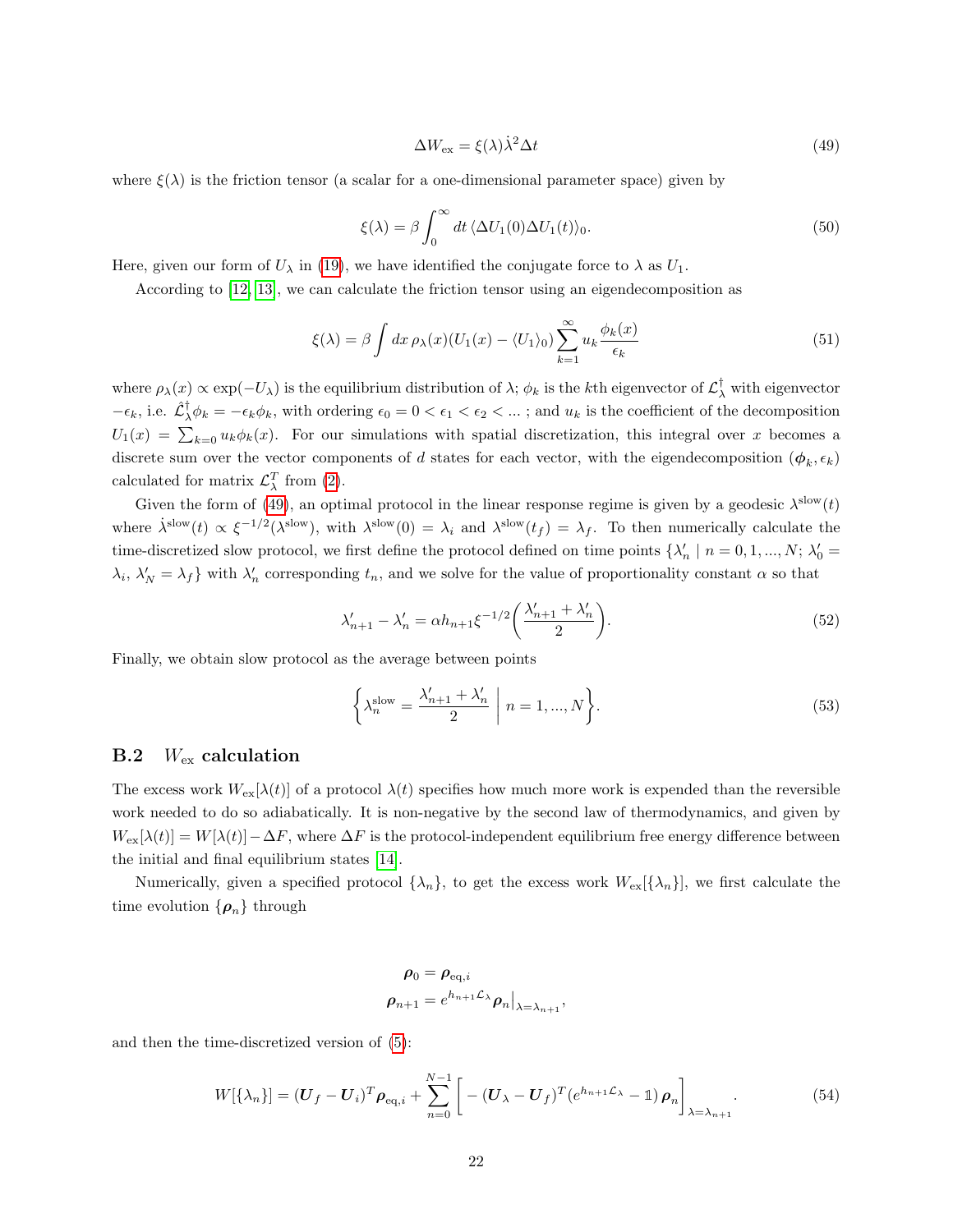<span id="page-21-1"></span>
$$
\Delta W_{\text{ex}} = \xi(\lambda)\dot{\lambda}^2 \Delta t \tag{49}
$$

where  $\xi(\lambda)$  is the friction tensor (a scalar for a one-dimensional parameter space) given by

$$
\xi(\lambda) = \beta \int_0^\infty dt \, \langle \Delta U_1(0) \Delta U_1(t) \rangle_0. \tag{50}
$$

Here, given our form of  $U_{\lambda}$  in [\(19\)](#page-5-0), we have identified the conjugate force to  $\lambda$  as  $U_1$ .

According to [\[12,](#page-27-11) [13\]](#page-27-12), we can calculate the friction tensor using an eigendecomposition as

$$
\xi(\lambda) = \beta \int dx \, \rho_{\lambda}(x) (U_1(x) - \langle U_1 \rangle_0) \sum_{k=1}^{\infty} u_k \frac{\phi_k(x)}{\epsilon_k}
$$
\n(51)

where  $\rho_\lambda(x) \propto \exp(-U_\lambda)$  is the equilibrium distribution of  $\lambda$ ;  $\phi_k$  is the kth eigenvector of  $\mathcal{L}^\dagger_\lambda$  with eigenvector  $-\epsilon_k$ , i.e.  $\hat{\mathcal{L}}_{\lambda}^{\dagger} \phi_k = -\epsilon_k \phi_k$ , with ordering  $\epsilon_0 = 0 < \epsilon_1 < \epsilon_2 < ...$ ; and  $u_k$  is the coefficient of the decomposition  $U_1(x) = \sum_{k=0} u_k \phi_k(x)$ . For our simulations with spatial discretization, this integral over x becomes a discrete sum over the vector components of d states for each vector, with the eigendecomposition  $(\phi_k, \epsilon_k)$ calculated for matrix  $\mathcal{L}^T_{\lambda}$  from [\(2\)](#page-2-2).

Given the form of [\(49\)](#page-21-1), an optimal protocol in the linear response regime is given by a geodesic  $\lambda^{\text{slow}}(t)$ where  $\dot{\lambda}^{slow}(t) \propto \xi^{-1/2}(\lambda^{slow})$ , with  $\lambda^{slow}(0) = \lambda_i$  and  $\lambda^{slow}(t_f) = \lambda_f$ . To then numerically calculate the time-discretized slow protocol, we first define the protocol defined on time points  $\{\lambda'_n \mid n = 0, 1, ..., N; \lambda'_0 = 1\}$  $\lambda_i$ ,  $\lambda'_N = \lambda_f$  with  $\lambda'_n$  corresponding  $t_n$ , and we solve for the value of proportionality constant  $\alpha$  so that

$$
\lambda'_{n+1} - \lambda'_n = \alpha h_{n+1} \xi^{-1/2} \left( \frac{\lambda'_{n+1} + \lambda'_n}{2} \right). \tag{52}
$$

Finally, we obtain slow protocol as the average between points

$$
\left\{\lambda_n^{\text{slow}} = \frac{\lambda'_{n+1} + \lambda'_n}{2} \middle| n = 1, ..., N\right\}.
$$
\n(53)

#### <span id="page-21-0"></span>**B.2**  $W_{\text{ex}}$  calculation

The excess work  $W_{ex}[\lambda(t)]$  of a protocol  $\lambda(t)$  specifies how much more work is expended than the reversible work needed to do so adiabatically. It is non-negative by the second law of thermodynamics, and given by  $W_{\text{ex}}[\lambda(t)] = W[\lambda(t)] - \Delta F$ , where  $\Delta F$  is the protocol-independent equilibrium free energy difference between the initial and final equilibrium states [\[14\]](#page-27-13).

Numerically, given a specified protocol  $\{\lambda_n\}$ , to get the excess work  $W_{\text{ex}}[\{\lambda_n\}]$ , we first calculate the time evolution  $\{\boldsymbol{\rho}_n\}$  through

$$
\rho_0 = \rho_{\text{eq},i}
$$
  

$$
\rho_{n+1} = e^{h_{n+1} \mathcal{L}_{\lambda}} \rho_n \big|_{\lambda = \lambda_{n+1}},
$$

and then the time-discretized version of [\(5\)](#page-2-3):

<span id="page-21-2"></span>
$$
W[\{\lambda_n\}] = (\boldsymbol{U}_f - \boldsymbol{U}_i)^T \boldsymbol{\rho}_{\text{eq},i} + \sum_{n=0}^{N-1} \left[ -( \boldsymbol{U}_\lambda - \boldsymbol{U}_f)^T (e^{h_{n+1}\mathcal{L}_\lambda} - \mathbb{1}) \boldsymbol{\rho}_n \right]_{\lambda = \lambda_{n+1}}.
$$
 (54)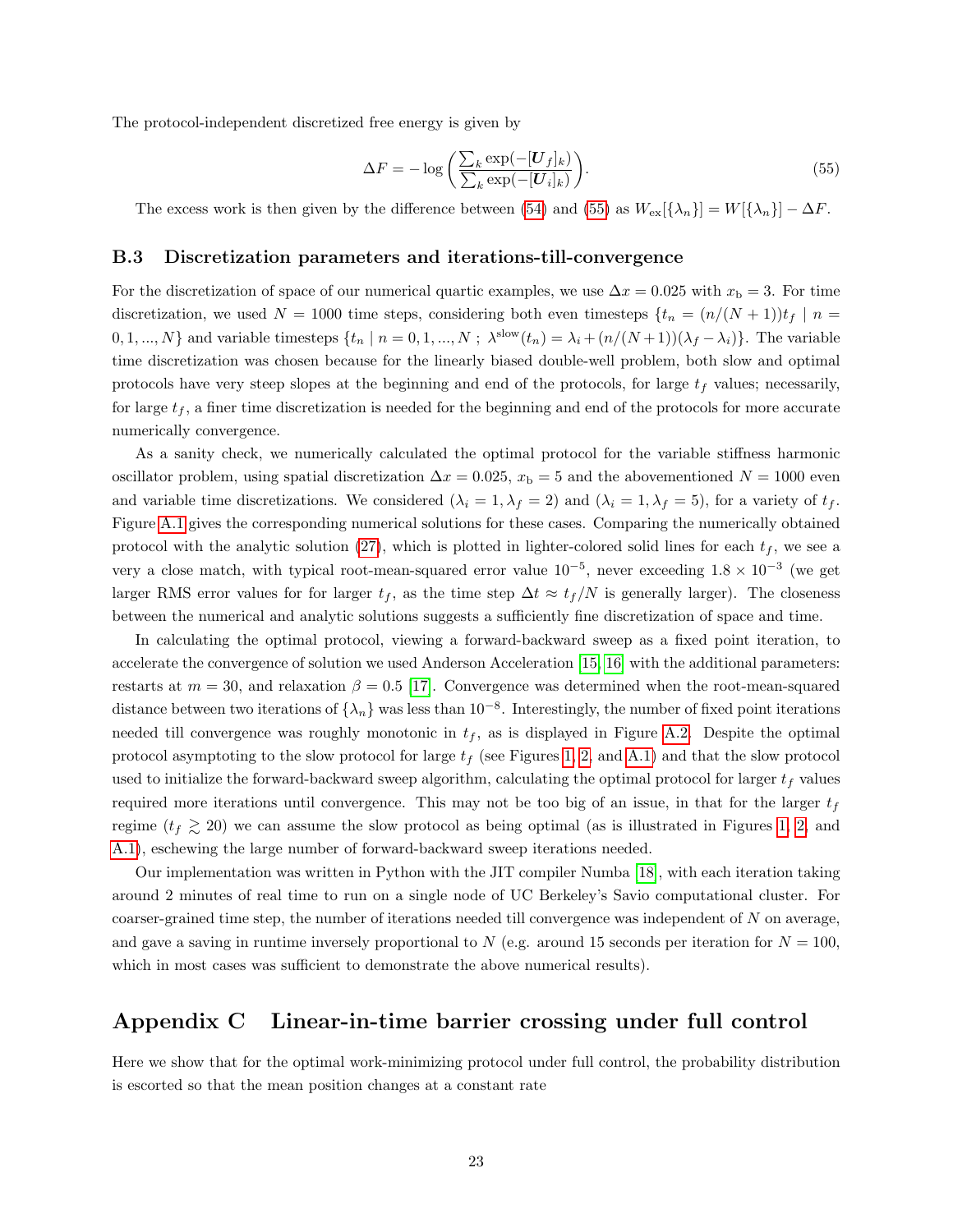The protocol-independent discretized free energy is given by

<span id="page-22-1"></span>
$$
\Delta F = -\log\left(\frac{\sum_{k} \exp(-[\boldsymbol{U}_{f}]_{k})}{\sum_{k} \exp(-[\boldsymbol{U}_{i}]_{k})}\right).
$$
\n(55)

The excess work is then given by the difference between [\(54\)](#page-21-2) and [\(55\)](#page-22-1) as  $W_{ex}[\{\lambda_n\}] = W[\{\lambda_n\}] - \Delta F$ .

#### <span id="page-22-0"></span>B.3 Discretization parameters and iterations-till-convergence

For the discretization of space of our numerical quartic examples, we use  $\Delta x = 0.025$  with  $x<sub>b</sub> = 3$ . For time discretization, we used  $N = 1000$  time steps, considering both even timesteps  $\{t_n = (n/(N+1))t_f \mid n =$ 0, 1, ..., N} and variable timesteps  $\{t_n | n = 0, 1, ..., N; \lambda^{\text{slow}}(t_n) = \lambda_i + (n/(N+1))(\lambda_f - \lambda_i)\}.$  The variable time discretization was chosen because for the linearly biased double-well problem, both slow and optimal protocols have very steep slopes at the beginning and end of the protocols, for large  $t_f$  values; necessarily, for large  $t_f$ , a finer time discretization is needed for the beginning and end of the protocols for more accurate numerically convergence.

As a sanity check, we numerically calculated the optimal protocol for the variable stiffness harmonic oscillator problem, using spatial discretization  $\Delta x = 0.025$ ,  $x<sub>b</sub> = 5$  and the abovementioned  $N = 1000$  even and variable time discretizations. We considered  $(\lambda_i = 1, \lambda_f = 2)$  and  $(\lambda_i = 1, \lambda_f = 5)$ , for a variety of  $t_f$ . Figure [A.1](#page-25-0) gives the corresponding numerical solutions for these cases. Comparing the numerically obtained protocol with the analytic solution [\(27\)](#page-6-2), which is plotted in lighter-colored solid lines for each  $t_f$ , we see a very a close match, with typical root-mean-squared error value  $10^{-5}$ , never exceeding  $1.8 \times 10^{-3}$  (we get larger RMS error values for for larger  $t_f$ , as the time step  $\Delta t \approx t_f/N$  is generally larger). The closeness between the numerical and analytic solutions suggests a sufficiently fine discretization of space and time.

In calculating the optimal protocol, viewing a forward-backward sweep as a fixed point iteration, to accelerate the convergence of solution we used Anderson Acceleration [\[15,](#page-27-14) [16\]](#page-27-15) with the additional parameters: restarts at  $m = 30$ , and relaxation  $\beta = 0.5$  [\[17\]](#page-27-16). Convergence was determined when the root-mean-squared distance between two iterations of  $\{\lambda_n\}$  was less than  $10^{-8}$ . Interestingly, the number of fixed point iterations needed till convergence was roughly monotonic in  $t_f$ , as is displayed in Figure [A.2.](#page-26-0) Despite the optimal protocol asymptoting to the slow protocol for large  $t_f$  (see Figures [1,](#page-8-0) [2,](#page-10-0) and [A.1\)](#page-25-0) and that the slow protocol used to initialize the forward-backward sweep algorithm, calculating the optimal protocol for larger  $t_f$  values required more iterations until convergence. This may not be too big of an issue, in that for the larger  $t_f$ regime  $(t_f \gtrsim 20)$  we can assume the slow protocol as being optimal (as is illustrated in Figures [1,](#page-8-0) [2,](#page-10-0) and [A.1\)](#page-25-0), eschewing the large number of forward-backward sweep iterations needed.

Our implementation was written in Python with the JIT compiler Numba [\[18\]](#page-27-17), with each iteration taking around 2 minutes of real time to run on a single node of UC Berkeley's Savio computational cluster. For coarser-grained time step, the number of iterations needed till convergence was independent of N on average, and gave a saving in runtime inversely proportional to N (e.g. around 15 seconds per iteration for  $N = 100$ , which in most cases was sufficient to demonstrate the above numerical results).

# Appendix C Linear-in-time barrier crossing under full control

Here we show that for the optimal work-minimizing protocol under full control, the probability distribution is escorted so that the mean position changes at a constant rate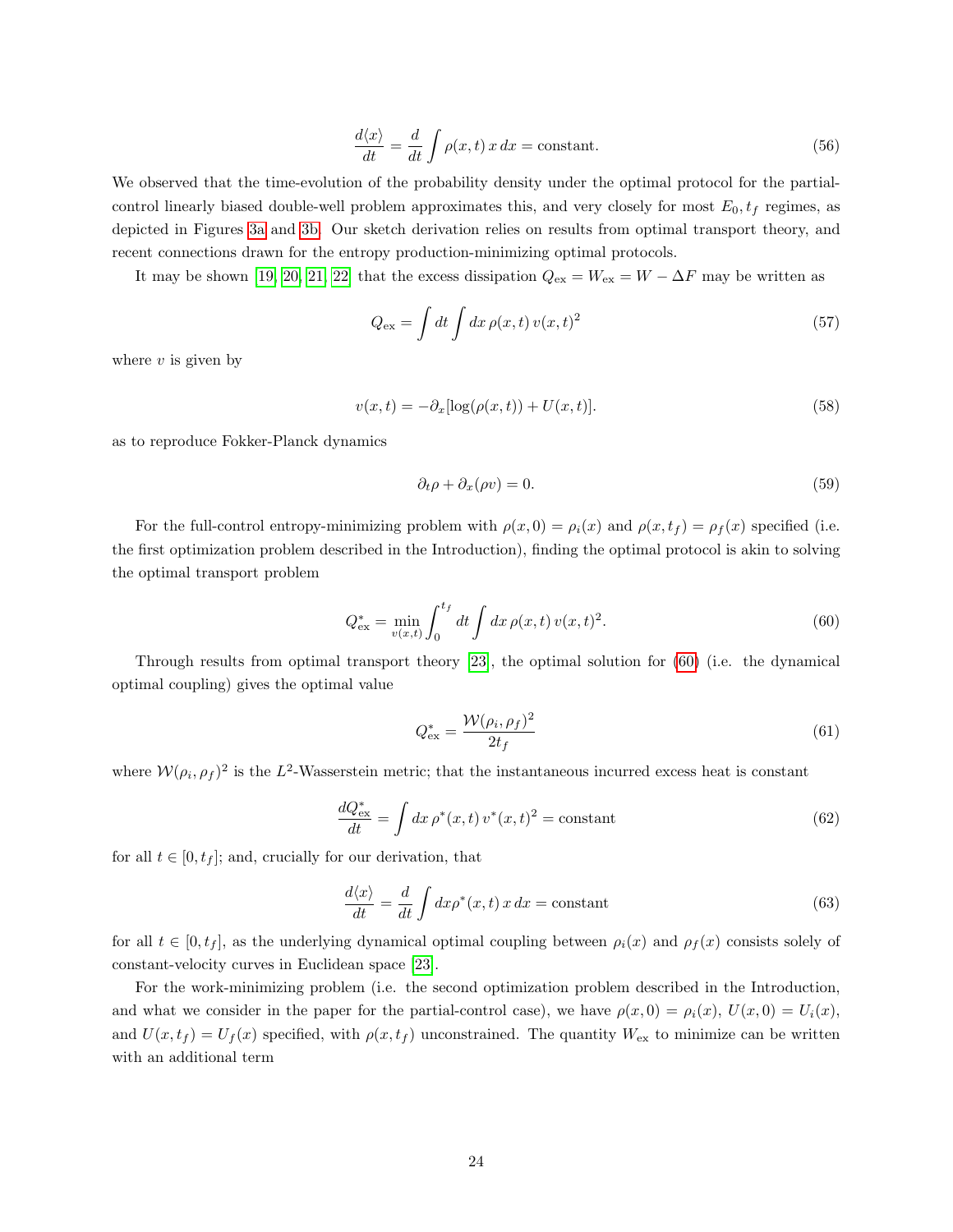$$
\frac{d\langle x \rangle}{dt} = \frac{d}{dt} \int \rho(x, t) x \, dx = \text{constant.}
$$
\n(56)

We observed that the time-evolution of the probability density under the optimal protocol for the partialcontrol linearly biased double-well problem approximates this, and very closely for most  $E_0$ ,  $t_f$  regimes, as depicted in Figures [3a](#page-11-0) and [3b.](#page-11-0) Our sketch derivation relies on results from optimal transport theory, and recent connections drawn for the entropy production-minimizing optimal protocols.

It may be shown [\[19,](#page-27-18) [20,](#page-28-0) [21,](#page-28-1) [22\]](#page-28-2) that the excess dissipation  $Q_{\text{ex}} = W_{\text{ex}} = W - \Delta F$  may be written as

$$
Q_{\text{ex}} = \int dt \int dx \,\rho(x,t) \, v(x,t)^2 \tag{57}
$$

where  $v$  is given by

$$
v(x,t) = -\partial_x[\log(\rho(x,t)) + U(x,t)].
$$
\n(58)

as to reproduce Fokker-Planck dynamics

$$
\partial_t \rho + \partial_x(\rho v) = 0. \tag{59}
$$

For the full-control entropy-minimizing problem with  $\rho(x, 0) = \rho_i(x)$  and  $\rho(x, t_f) = \rho_f(x)$  specified (i.e. the first optimization problem described in the Introduction), finding the optimal protocol is akin to solving the optimal transport problem

<span id="page-23-0"></span>
$$
Q_{\text{ex}}^* = \min_{v(x,t)} \int_0^{t_f} dt \int dx \,\rho(x,t) \, v(x,t)^2. \tag{60}
$$

Through results from optimal transport theory [\[23\]](#page-28-3), the optimal solution for [\(60\)](#page-23-0) (i.e. the dynamical optimal coupling) gives the optimal value

$$
Q_{\text{ex}}^* = \frac{\mathcal{W}(\rho_i, \rho_f)^2}{2t_f} \tag{61}
$$

where  $W(\rho_i, \rho_f)^2$  is the L<sup>2</sup>-Wasserstein metric; that the instantaneous incurred excess heat is constant

$$
\frac{dQ_{\text{ex}}^*}{dt} = \int dx \,\rho^*(x,t)\,v^*(x,t)^2 = \text{constant} \tag{62}
$$

for all  $t \in [0, t<sub>f</sub>];$  and, crucially for our derivation, that

$$
\frac{d\langle x\rangle}{dt} = \frac{d}{dt} \int dx \rho^*(x, t) x dx = \text{constant}
$$
\n(63)

for all  $t \in [0, t_f]$ , as the underlying dynamical optimal coupling between  $\rho_i(x)$  and  $\rho_f(x)$  consists solely of constant-velocity curves in Euclidean space [\[23\]](#page-28-3).

For the work-minimizing problem (i.e. the second optimization problem described in the Introduction, and what we consider in the paper for the partial-control case), we have  $\rho(x, 0) = \rho_i(x)$ ,  $U(x, 0) = U_i(x)$ , and  $U(x, t_f) = U_f(x)$  specified, with  $\rho(x, t_f)$  unconstrained. The quantity  $W_{\text{ex}}$  to minimize can be written with an additional term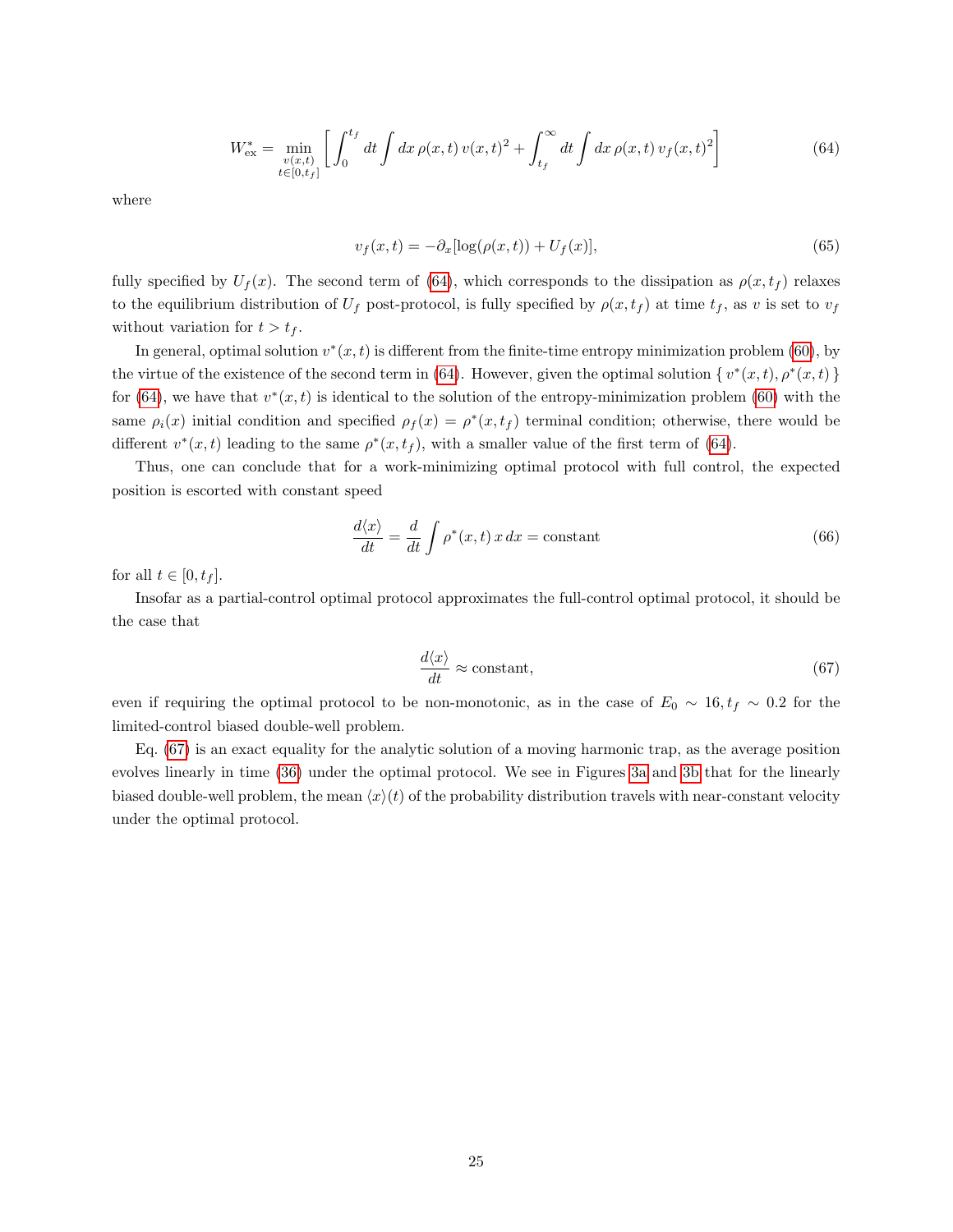<span id="page-24-0"></span>
$$
W_{\text{ex}}^{*} = \min_{\substack{v(x,t) \\ t \in [0,t_f]}} \left[ \int_0^{t_f} dt \int dx \, \rho(x,t) \, v(x,t)^2 + \int_{t_f}^{\infty} dt \int dx \, \rho(x,t) \, v_f(x,t)^2 \right] \tag{64}
$$

where

$$
v_f(x,t) = -\partial_x[\log(\rho(x,t)) + U_f(x)],\tag{65}
$$

fully specified by  $U_f(x)$ . The second term of [\(64\)](#page-24-0), which corresponds to the dissipation as  $\rho(x, t_f)$  relaxes to the equilibrium distribution of  $U_f$  post-protocol, is fully specified by  $\rho(x, t_f)$  at time  $t_f$ , as v is set to  $v_f$ without variation for  $t > t_f$ .

In general, optimal solution  $v^*(x,t)$  is different from the finite-time entropy minimization problem [\(60\)](#page-23-0), by the virtue of the existence of the second term in [\(64\)](#page-24-0). However, given the optimal solution  $\{v^*(x,t), \rho^*(x,t)\}$ for [\(64\)](#page-24-0), we have that  $v^*(x,t)$  is identical to the solution of the entropy-minimization problem [\(60\)](#page-23-0) with the same  $\rho_i(x)$  initial condition and specified  $\rho_f(x) = \rho^*(x, t_f)$  terminal condition; otherwise, there would be different  $v^*(x,t)$  leading to the same  $\rho^*(x,t_f)$ , with a smaller value of the first term of [\(64\)](#page-24-0).

Thus, one can conclude that for a work-minimizing optimal protocol with full control, the expected position is escorted with constant speed

$$
\frac{d\langle x\rangle}{dt} = \frac{d}{dt} \int \rho^*(x, t) \, x \, dx = \text{constant} \tag{66}
$$

for all  $t \in [0, t_f]$ .

Insofar as a partial-control optimal protocol approximates the full-control optimal protocol, it should be the case that

<span id="page-24-1"></span>
$$
\frac{d\langle x \rangle}{dt} \approx \text{constant},\tag{67}
$$

even if requiring the optimal protocol to be non-monotonic, as in the case of  $E_0 \sim 16, t_f \sim 0.2$  for the limited-control biased double-well problem.

Eq. [\(67\)](#page-24-1) is an exact equality for the analytic solution of a moving harmonic trap, as the average position evolves linearly in time [\(36\)](#page-17-4) under the optimal protocol. We see in Figures [3a](#page-11-0) and [3b](#page-11-0) that for the linearly biased double-well problem, the mean  $\langle x \rangle(t)$  of the probability distribution travels with near-constant velocity under the optimal protocol.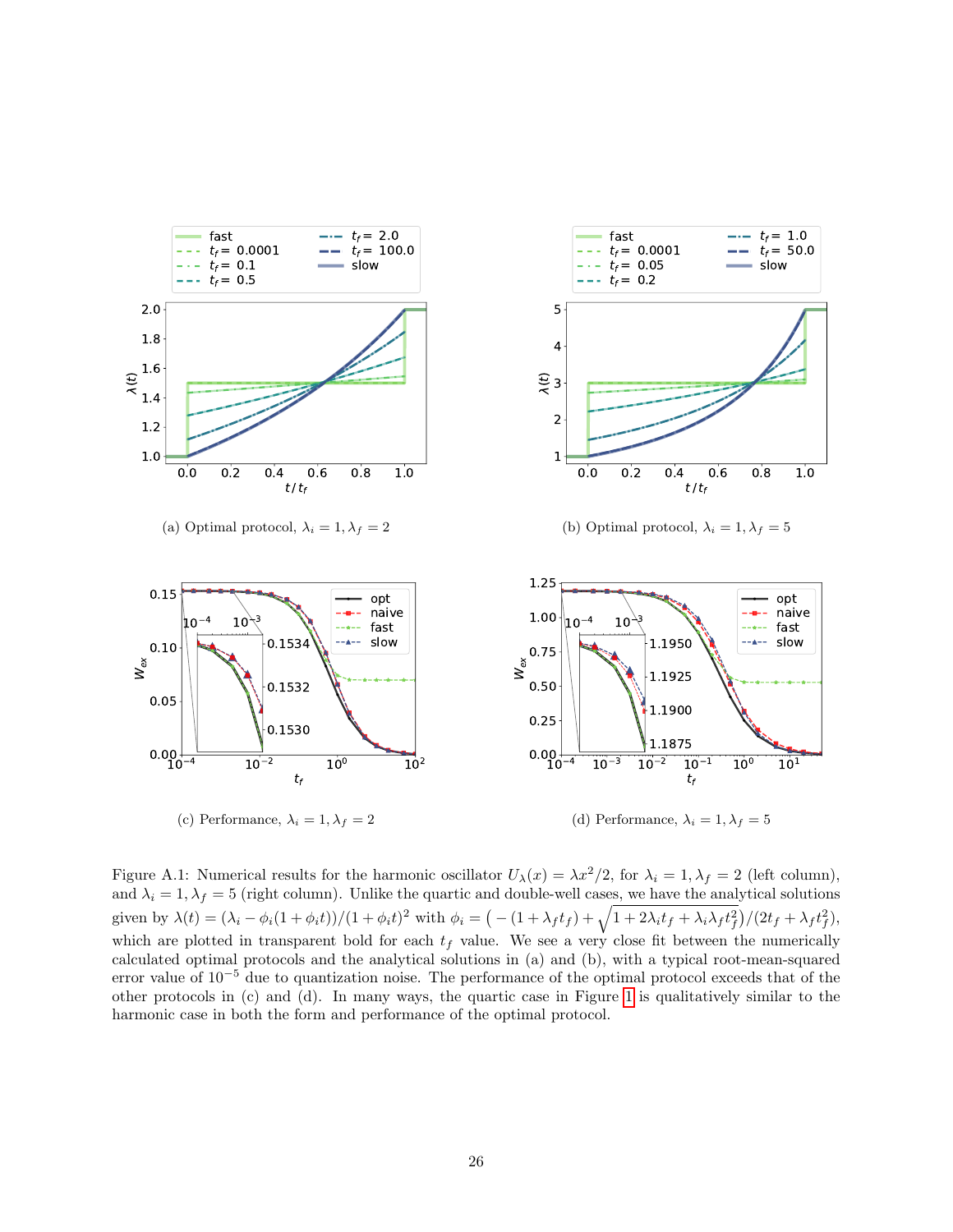<span id="page-25-0"></span>

Figure A.1: Numerical results for the harmonic oscillator  $U_{\lambda}(x) = \lambda x^2/2$ , for  $\lambda_i = 1, \lambda_f = 2$  (left column), and  $\lambda_i = 1, \lambda_f = 5$  (right column). Unlike the quartic and double-well cases, we have the analytical solutions given by  $\lambda(t) = (\lambda_i - \phi_i(1 + \phi_i t))/(1 + \phi_i t)^2$  with  $\phi_i = \left(-\frac{(1 + \lambda_f t_f) + \sqrt{1 + 2\lambda_i t_f + \lambda_i \lambda_f t_f^2}}\right)/(2t_f + \lambda_f t_f^2)$ , which are plotted in transparent bold for each  $t_f$  value. We see a very close fit between the numerically calculated optimal protocols and the analytical solutions in (a) and (b), with a typical root-mean-squared error value of  $10^{-5}$  due to quantization noise. The performance of the optimal protocol exceeds that of the other protocols in (c) and (d). In many ways, the quartic case in Figure [1](#page-8-0) is qualitatively similar to the harmonic case in both the form and performance of the optimal protocol.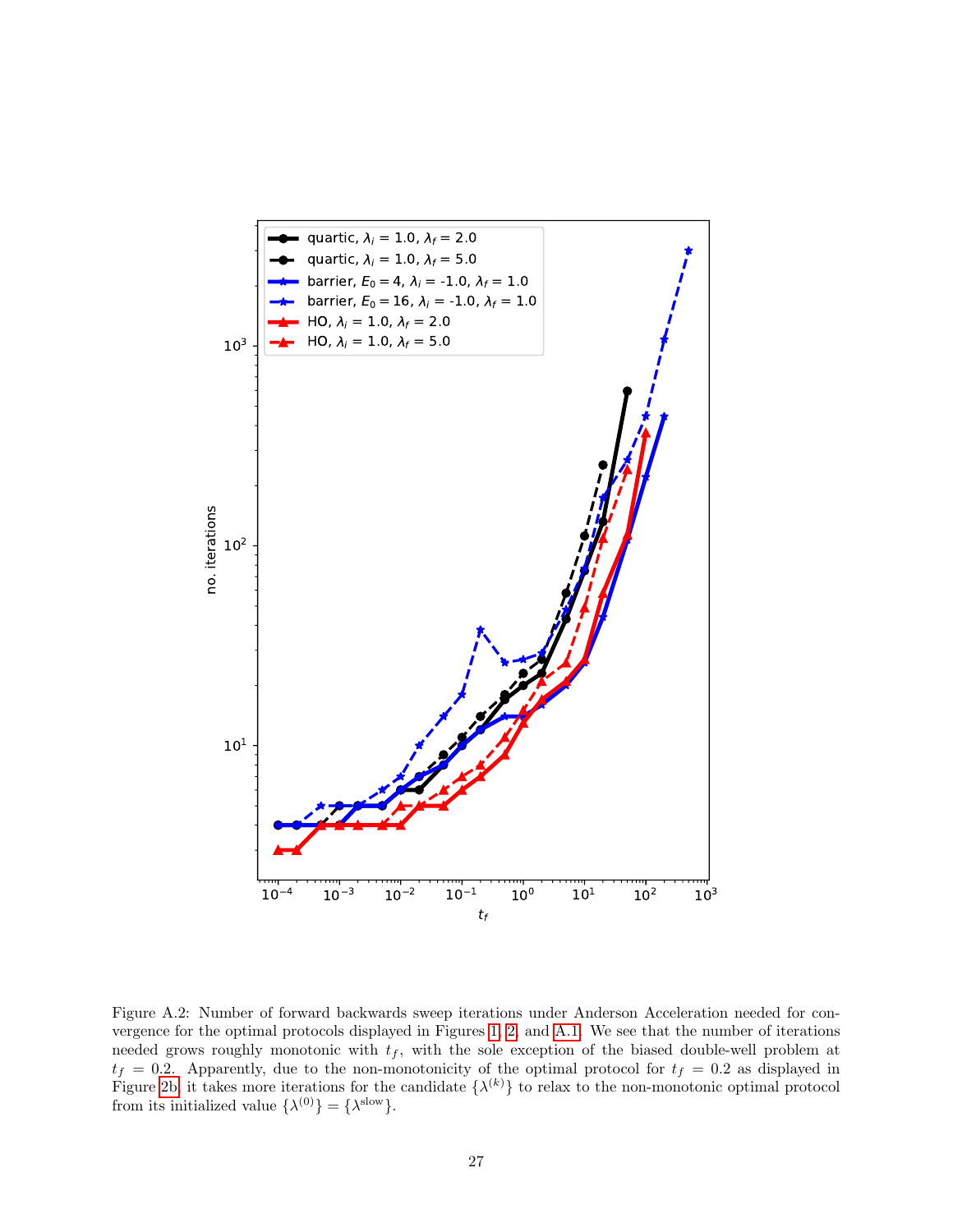<span id="page-26-0"></span>

Figure A.2: Number of forward backwards sweep iterations under Anderson Acceleration needed for convergence for the optimal protocols displayed in Figures [1,](#page-8-0) [2,](#page-10-0) and [A.1.](#page-25-0) We see that the number of iterations needed grows roughly monotonic with  $t_f$ , with the sole exception of the biased double-well problem at  $t_f = 0.2$ . Apparently, due to the non-monotonicity of the optimal protocol for  $t_f = 0.2$  as displayed in Figure [2b,](#page-10-0) it takes more iterations for the candidate  $\{\lambda^{(k)}\}$  to relax to the non-monotonic optimal protocol from its initialized value  $\{\lambda^{(0)}\} = \{\lambda^{\text{slow}}\}.$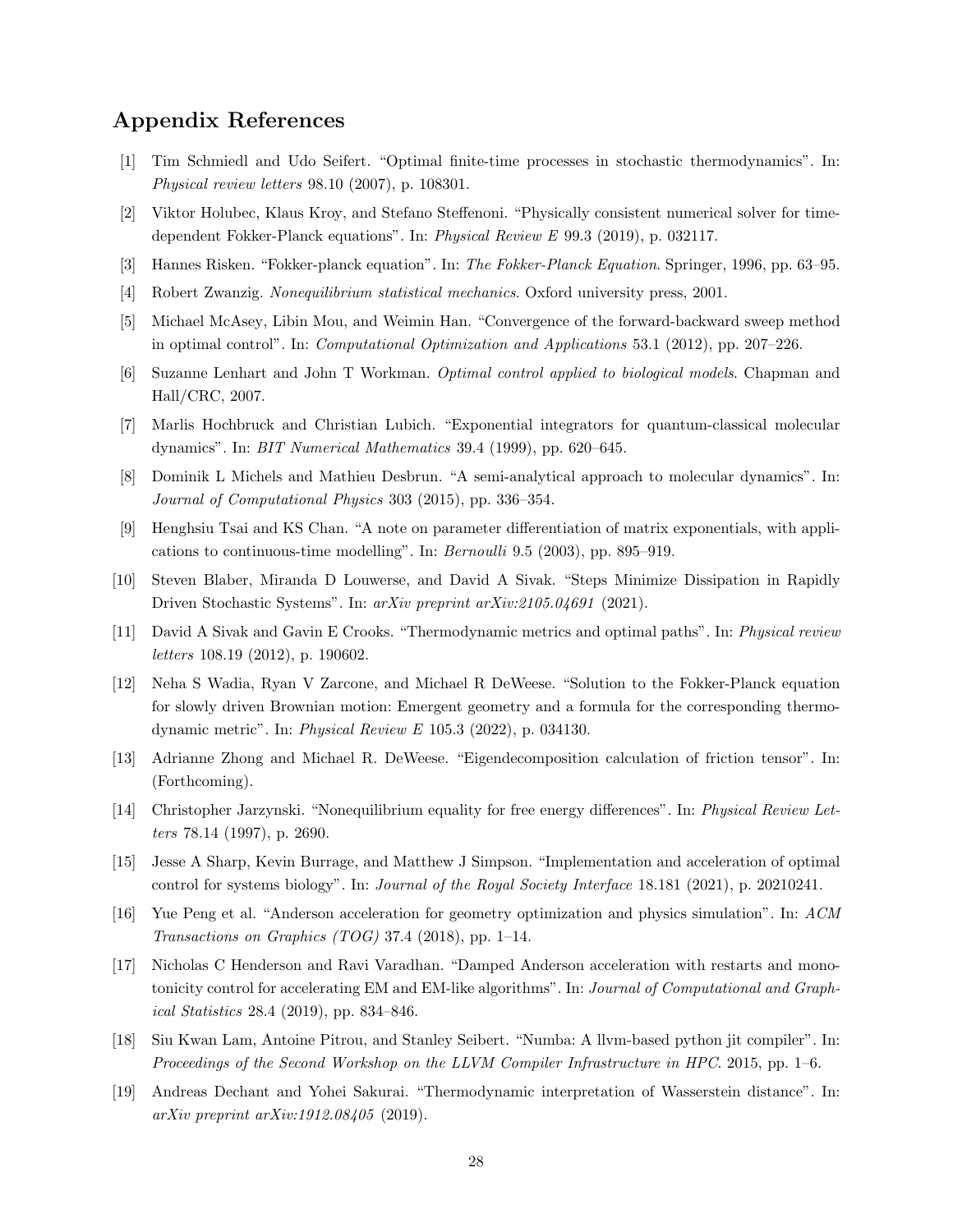# Appendix References

- <span id="page-27-0"></span>[1] Tim Schmiedl and Udo Seifert. "Optimal finite-time processes in stochastic thermodynamics". In: Physical review letters 98.10 (2007), p. 108301.
- <span id="page-27-1"></span>[2] Viktor Holubec, Klaus Kroy, and Stefano Steffenoni. "Physically consistent numerical solver for timedependent Fokker-Planck equations". In: Physical Review E 99.3 (2019), p. 032117.
- <span id="page-27-2"></span>[3] Hannes Risken. "Fokker-planck equation". In: The Fokker-Planck Equation. Springer, 1996, pp. 63–95.
- <span id="page-27-3"></span>[4] Robert Zwanzig. Nonequilibrium statistical mechanics. Oxford university press, 2001.
- <span id="page-27-4"></span>[5] Michael McAsey, Libin Mou, and Weimin Han. "Convergence of the forward-backward sweep method in optimal control". In: Computational Optimization and Applications 53.1 (2012), pp. 207–226.
- <span id="page-27-5"></span>[6] Suzanne Lenhart and John T Workman. Optimal control applied to biological models. Chapman and Hall/CRC, 2007.
- <span id="page-27-6"></span>[7] Marlis Hochbruck and Christian Lubich. "Exponential integrators for quantum-classical molecular dynamics". In: BIT Numerical Mathematics 39.4 (1999), pp. 620–645.
- <span id="page-27-7"></span>[8] Dominik L Michels and Mathieu Desbrun. "A semi-analytical approach to molecular dynamics". In: Journal of Computational Physics 303 (2015), pp. 336–354.
- <span id="page-27-8"></span>[9] Henghsiu Tsai and KS Chan. "A note on parameter differentiation of matrix exponentials, with applications to continuous-time modelling". In: Bernoulli 9.5 (2003), pp. 895–919.
- <span id="page-27-9"></span>[10] Steven Blaber, Miranda D Louwerse, and David A Sivak. "Steps Minimize Dissipation in Rapidly Driven Stochastic Systems". In: arXiv preprint arXiv:2105.04691 (2021).
- <span id="page-27-10"></span>[11] David A Sivak and Gavin E Crooks. "Thermodynamic metrics and optimal paths". In: Physical review letters 108.19 (2012), p. 190602.
- <span id="page-27-11"></span>[12] Neha S Wadia, Ryan V Zarcone, and Michael R DeWeese. "Solution to the Fokker-Planck equation for slowly driven Brownian motion: Emergent geometry and a formula for the corresponding thermodynamic metric". In: Physical Review E 105.3 (2022), p. 034130.
- <span id="page-27-12"></span>[13] Adrianne Zhong and Michael R. DeWeese. "Eigendecomposition calculation of friction tensor". In: (Forthcoming).
- <span id="page-27-13"></span>[14] Christopher Jarzynski. "Nonequilibrium equality for free energy differences". In: Physical Review Letters 78.14 (1997), p. 2690.
- <span id="page-27-14"></span>[15] Jesse A Sharp, Kevin Burrage, and Matthew J Simpson. "Implementation and acceleration of optimal control for systems biology". In: Journal of the Royal Society Interface 18.181 (2021), p. 20210241.
- <span id="page-27-15"></span>[16] Yue Peng et al. "Anderson acceleration for geometry optimization and physics simulation". In: ACM Transactions on Graphics (TOG) 37.4 (2018), pp. 1–14.
- <span id="page-27-16"></span>[17] Nicholas C Henderson and Ravi Varadhan. "Damped Anderson acceleration with restarts and monotonicity control for accelerating EM and EM-like algorithms". In: Journal of Computational and Graphical Statistics 28.4 (2019), pp. 834–846.
- <span id="page-27-17"></span>[18] Siu Kwan Lam, Antoine Pitrou, and Stanley Seibert. "Numba: A llvm-based python jit compiler". In: Proceedings of the Second Workshop on the LLVM Compiler Infrastructure in HPC. 2015, pp. 1–6.
- <span id="page-27-18"></span>[19] Andreas Dechant and Yohei Sakurai. "Thermodynamic interpretation of Wasserstein distance". In: arXiv preprint arXiv:1912.08405 (2019).